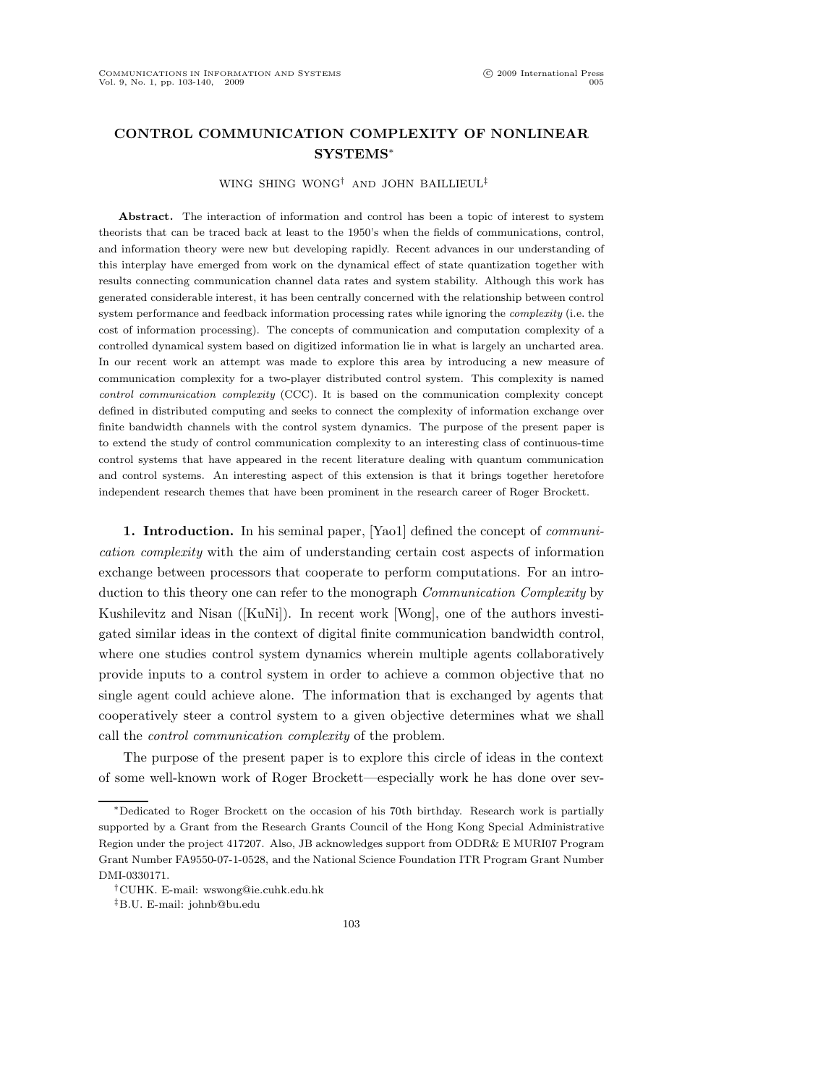## CONTROL COMMUNICATION COMPLEXITY OF NONLINEAR SYSTEMS<sup>∗</sup>

## WING SHING WONG† AND JOHN BAILLIEUL‡

Abstract. The interaction of information and control has been a topic of interest to system theorists that can be traced back at least to the 1950's when the fields of communications, control, and information theory were new but developing rapidly. Recent advances in our understanding of this interplay have emerged from work on the dynamical effect of state quantization together with results connecting communication channel data rates and system stability. Although this work has generated considerable interest, it has been centrally concerned with the relationship between control system performance and feedback information processing rates while ignoring the complexity (i.e. the cost of information processing). The concepts of communication and computation complexity of a controlled dynamical system based on digitized information lie in what is largely an uncharted area. In our recent work an attempt was made to explore this area by introducing a new measure of communication complexity for a two-player distributed control system. This complexity is named control communication complexity (CCC). It is based on the communication complexity concept defined in distributed computing and seeks to connect the complexity of information exchange over finite bandwidth channels with the control system dynamics. The purpose of the present paper is to extend the study of control communication complexity to an interesting class of continuous-time control systems that have appeared in the recent literature dealing with quantum communication and control systems. An interesting aspect of this extension is that it brings together heretofore independent research themes that have been prominent in the research career of Roger Brockett.

1. Introduction. In his seminal paper, [Yao1] defined the concept of *communi*cation complexity with the aim of understanding certain cost aspects of information exchange between processors that cooperate to perform computations. For an introduction to this theory one can refer to the monograph Communication Complexity by Kushilevitz and Nisan ([KuNi]). In recent work [Wong], one of the authors investigated similar ideas in the context of digital finite communication bandwidth control, where one studies control system dynamics wherein multiple agents collaboratively provide inputs to a control system in order to achieve a common objective that no single agent could achieve alone. The information that is exchanged by agents that cooperatively steer a control system to a given objective determines what we shall call the control communication complexity of the problem.

The purpose of the present paper is to explore this circle of ideas in the context of some well-known work of Roger Brockett—especially work he has done over sev-

<sup>∗</sup>Dedicated to Roger Brockett on the occasion of his 70th birthday. Research work is partially supported by a Grant from the Research Grants Council of the Hong Kong Special Administrative Region under the project 417207. Also, JB acknowledges support from ODDR& E MURI07 Program Grant Number FA9550-07-1-0528, and the National Science Foundation ITR Program Grant Number DMI-0330171.

<sup>†</sup>CUHK. E-mail: wswong@ie.cuhk.edu.hk

<sup>‡</sup>B.U. E-mail: johnb@bu.edu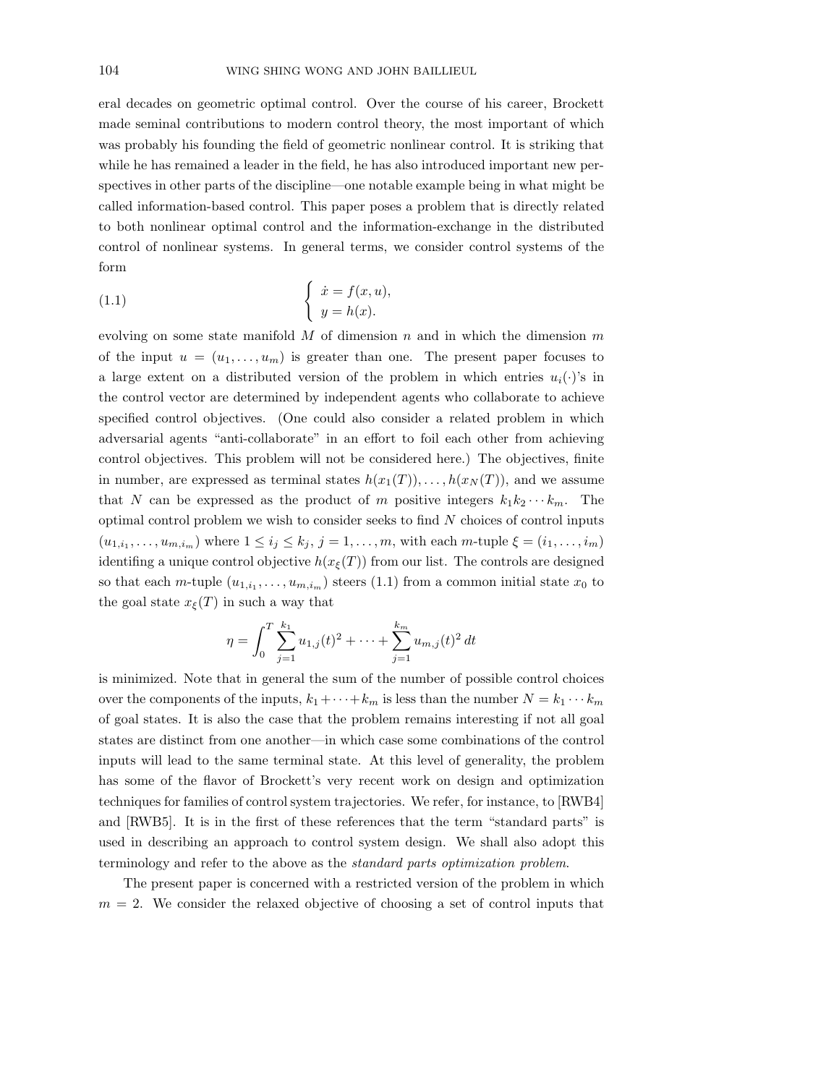eral decades on geometric optimal control. Over the course of his career, Brockett made seminal contributions to modern control theory, the most important of which was probably his founding the field of geometric nonlinear control. It is striking that while he has remained a leader in the field, he has also introduced important new perspectives in other parts of the discipline—one notable example being in what might be called information-based control. This paper poses a problem that is directly related to both nonlinear optimal control and the information-exchange in the distributed control of nonlinear systems. In general terms, we consider control systems of the form

(1.1) 
$$
\begin{cases} \dot{x} = f(x, u), \\ y = h(x). \end{cases}
$$

evolving on some state manifold  $M$  of dimension  $n$  and in which the dimension  $m$ of the input  $u = (u_1, \ldots, u_m)$  is greater than one. The present paper focuses to a large extent on a distributed version of the problem in which entries  $u_i(\cdot)$ 's in the control vector are determined by independent agents who collaborate to achieve specified control objectives. (One could also consider a related problem in which adversarial agents "anti-collaborate" in an effort to foil each other from achieving control objectives. This problem will not be considered here.) The objectives, finite in number, are expressed as terminal states  $h(x_1(T)), \ldots, h(x_N(T))$ , and we assume that N can be expressed as the product of m positive integers  $k_1k_2\cdots k_m$ . The optimal control problem we wish to consider seeks to find  $N$  choices of control inputs  $(u_{1,i_1},\ldots,u_{m,i_m})$  where  $1\leq i_j\leq k_j$ ,  $j=1,\ldots,m$ , with each m-tuple  $\xi=(i_1,\ldots,i_m)$ identifing a unique control objective  $h(x_{\xi}(T))$  from our list. The controls are designed so that each *m*-tuple  $(u_{1,i_1},...,u_{m,i_m})$  steers (1.1) from a common initial state  $x_0$  to the goal state  $x_{\xi}(T)$  in such a way that

$$
\eta = \int_0^T \sum_{j=1}^{k_1} u_{1,j}(t)^2 + \dots + \sum_{j=1}^{k_m} u_{m,j}(t)^2 dt
$$

is minimized. Note that in general the sum of the number of possible control choices over the components of the inputs,  $k_1 + \cdots + k_m$  is less than the number  $N = k_1 \cdots k_m$ of goal states. It is also the case that the problem remains interesting if not all goal states are distinct from one another—in which case some combinations of the control inputs will lead to the same terminal state. At this level of generality, the problem has some of the flavor of Brockett's very recent work on design and optimization techniques for families of control system trajectories. We refer, for instance, to [RWB4] and [RWB5]. It is in the first of these references that the term "standard parts" is used in describing an approach to control system design. We shall also adopt this terminology and refer to the above as the standard parts optimization problem.

The present paper is concerned with a restricted version of the problem in which  $m = 2$ . We consider the relaxed objective of choosing a set of control inputs that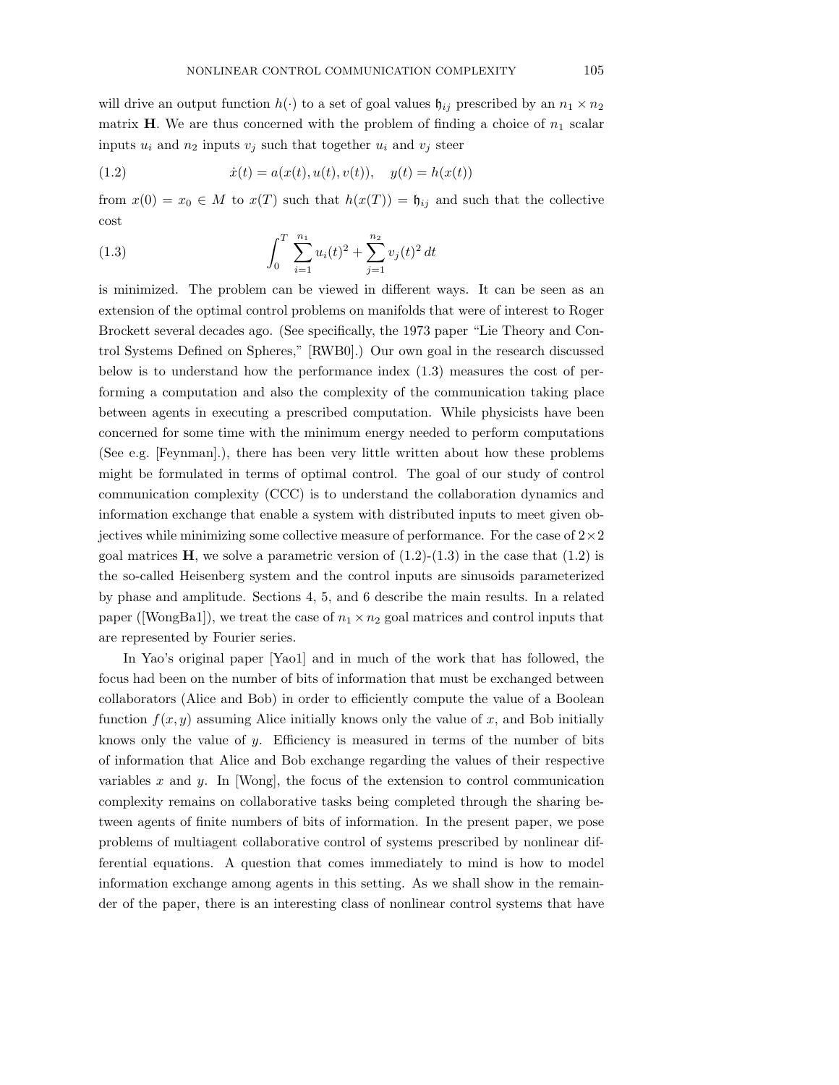will drive an output function  $h(\cdot)$  to a set of goal values  $\mathfrak{h}_{ij}$  prescribed by an  $n_1 \times n_2$ matrix **H**. We are thus concerned with the problem of finding a choice of  $n_1$  scalar inputs  $u_i$  and  $n_2$  inputs  $v_j$  such that together  $u_i$  and  $v_j$  steer

(1.2) 
$$
\dot{x}(t) = a(x(t), u(t), v(t)), \quad y(t) = h(x(t))
$$

from  $x(0) = x_0 \in M$  to  $x(T)$  such that  $h(x(T)) = \mathfrak{h}_{ij}$  and such that the collective cost

(1.3) 
$$
\int_0^T \sum_{i=1}^{n_1} u_i(t)^2 + \sum_{j=1}^{n_2} v_j(t)^2 dt
$$

is minimized. The problem can be viewed in different ways. It can be seen as an extension of the optimal control problems on manifolds that were of interest to Roger Brockett several decades ago. (See specifically, the 1973 paper "Lie Theory and Control Systems Defined on Spheres," [RWB0].) Our own goal in the research discussed below is to understand how the performance index (1.3) measures the cost of performing a computation and also the complexity of the communication taking place between agents in executing a prescribed computation. While physicists have been concerned for some time with the minimum energy needed to perform computations (See e.g. [Feynman].), there has been very little written about how these problems might be formulated in terms of optimal control. The goal of our study of control communication complexity (CCC) is to understand the collaboration dynamics and information exchange that enable a system with distributed inputs to meet given objectives while minimizing some collective measure of performance. For the case of  $2\times 2$ goal matrices  $\mathbf{H}$ , we solve a parametric version of  $(1.2)-(1.3)$  in the case that  $(1.2)$  is the so-called Heisenberg system and the control inputs are sinusoids parameterized by phase and amplitude. Sections 4, 5, and 6 describe the main results. In a related paper ([WongBa1]), we treat the case of  $n_1 \times n_2$  goal matrices and control inputs that are represented by Fourier series.

In Yao's original paper [Yao1] and in much of the work that has followed, the focus had been on the number of bits of information that must be exchanged between collaborators (Alice and Bob) in order to efficiently compute the value of a Boolean function  $f(x, y)$  assuming Alice initially knows only the value of x, and Bob initially knows only the value of  $y$ . Efficiency is measured in terms of the number of bits of information that Alice and Bob exchange regarding the values of their respective variables x and y. In [Wong], the focus of the extension to control communication complexity remains on collaborative tasks being completed through the sharing between agents of finite numbers of bits of information. In the present paper, we pose problems of multiagent collaborative control of systems prescribed by nonlinear differential equations. A question that comes immediately to mind is how to model information exchange among agents in this setting. As we shall show in the remainder of the paper, there is an interesting class of nonlinear control systems that have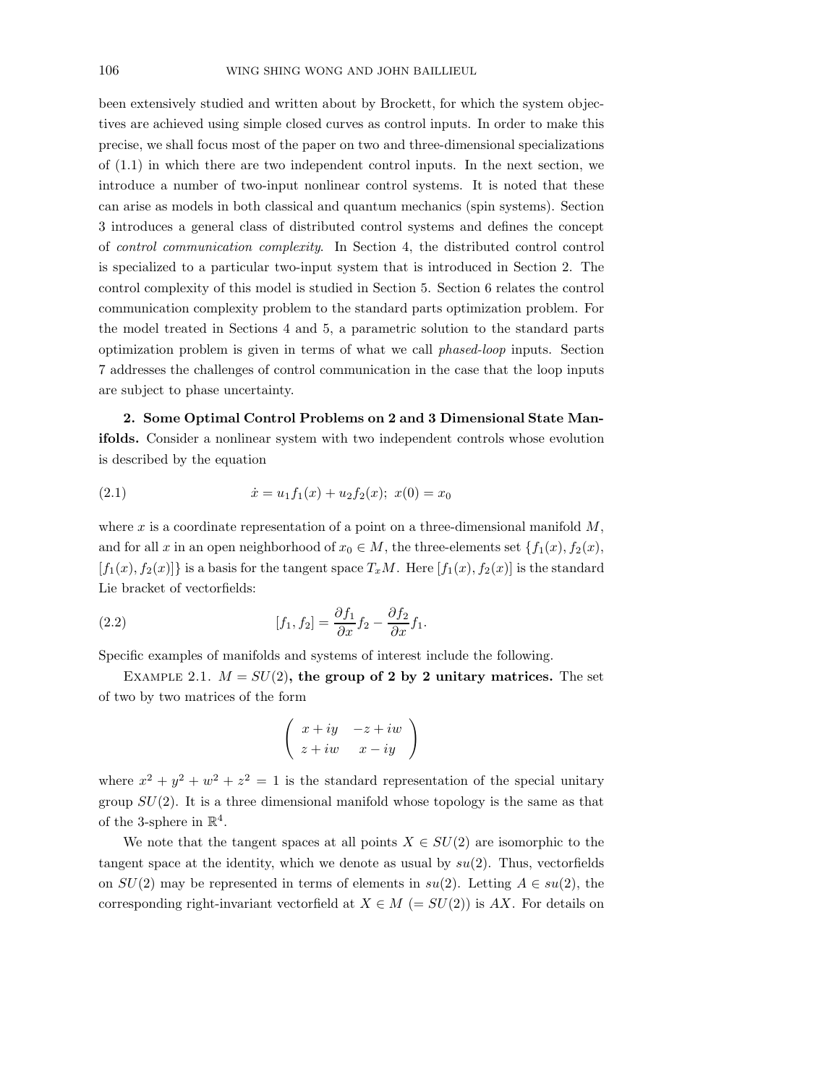been extensively studied and written about by Brockett, for which the system objectives are achieved using simple closed curves as control inputs. In order to make this precise, we shall focus most of the paper on two and three-dimensional specializations of (1.1) in which there are two independent control inputs. In the next section, we introduce a number of two-input nonlinear control systems. It is noted that these can arise as models in both classical and quantum mechanics (spin systems). Section 3 introduces a general class of distributed control systems and defines the concept of control communication complexity. In Section 4, the distributed control control is specialized to a particular two-input system that is introduced in Section 2. The control complexity of this model is studied in Section 5. Section 6 relates the control communication complexity problem to the standard parts optimization problem. For the model treated in Sections 4 and 5, a parametric solution to the standard parts optimization problem is given in terms of what we call phased-loop inputs. Section 7 addresses the challenges of control communication in the case that the loop inputs are subject to phase uncertainty.

2. Some Optimal Control Problems on 2 and 3 Dimensional State Manifolds. Consider a nonlinear system with two independent controls whose evolution is described by the equation

(2.1) 
$$
\dot{x} = u_1 f_1(x) + u_2 f_2(x); \ x(0) = x_0
$$

where x is a coordinate representation of a point on a three-dimensional manifold  $M$ , and for all x in an open neighborhood of  $x_0 \in M$ , the three-elements set  $\{f_1(x), f_2(x),\}$  $[f_1(x), f_2(x)]$  is a basis for the tangent space  $T_xM$ . Here  $[f_1(x), f_2(x)]$  is the standard Lie bracket of vectorfields:

(2.2) 
$$
[f_1, f_2] = \frac{\partial f_1}{\partial x} f_2 - \frac{\partial f_2}{\partial x} f_1.
$$

Specific examples of manifolds and systems of interest include the following.

EXAMPLE 2.1.  $M = SU(2)$ , the group of 2 by 2 unitary matrices. The set of two by two matrices of the form

$$
\left(\begin{array}{cc}x+iy & -z+iw\\z+iw & x-iy\end{array}\right)
$$

where  $x^2 + y^2 + w^2 + z^2 = 1$  is the standard representation of the special unitary group  $SU(2)$ . It is a three dimensional manifold whose topology is the same as that of the 3-sphere in  $\mathbb{R}^4$ .

We note that the tangent spaces at all points  $X \in SU(2)$  are isomorphic to the tangent space at the identity, which we denote as usual by  $su(2)$ . Thus, vectorfields on  $SU(2)$  may be represented in terms of elements in  $su(2)$ . Letting  $A \in su(2)$ , the corresponding right-invariant vectorfield at  $X \in M$  (=  $SU(2)$ ) is AX. For details on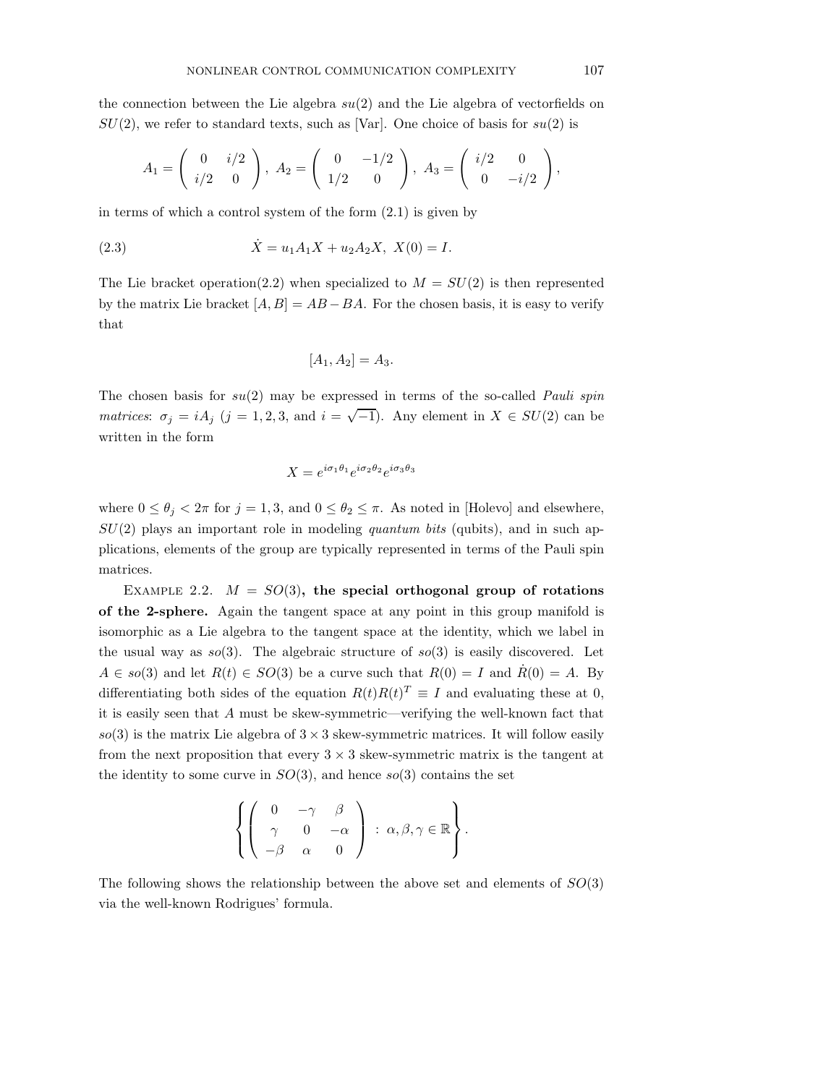the connection between the Lie algebra  $su(2)$  and the Lie algebra of vectorfields on  $SU(2)$ , we refer to standard texts, such as [Var]. One choice of basis for  $su(2)$  is

$$
A_1 = \begin{pmatrix} 0 & i/2 \\ i/2 & 0 \end{pmatrix}, A_2 = \begin{pmatrix} 0 & -1/2 \\ 1/2 & 0 \end{pmatrix}, A_3 = \begin{pmatrix} i/2 & 0 \\ 0 & -i/2 \end{pmatrix},
$$

in terms of which a control system of the form  $(2.1)$  is given by

(2.3) 
$$
\dot{X} = u_1 A_1 X + u_2 A_2 X, \ X(0) = I.
$$

The Lie bracket operation(2.2) when specialized to  $M = SU(2)$  is then represented by the matrix Lie bracket  $[A, B] = AB - BA$ . For the chosen basis, it is easy to verify that

$$
[A_1, A_2] = A_3.
$$

The chosen basis for  $su(2)$  may be expressed in terms of the so-called *Pauli spin* matrices:  $\sigma_j = iA_j$  (j = 1, 2, 3, and  $i = \sqrt{-1}$ ). Any element in  $X \in SU(2)$  can be written in the form

$$
X = e^{i\sigma_1\theta_1}e^{i\sigma_2\theta_2}e^{i\sigma_3\theta_3}
$$

where  $0 \le \theta_j < 2\pi$  for  $j = 1, 3$ , and  $0 \le \theta_2 \le \pi$ . As noted in [Holevo] and elsewhere,  $SU(2)$  plays an important role in modeling quantum bits (qubits), and in such applications, elements of the group are typically represented in terms of the Pauli spin matrices.

EXAMPLE 2.2.  $M = SO(3)$ , the special orthogonal group of rotations of the 2-sphere. Again the tangent space at any point in this group manifold is isomorphic as a Lie algebra to the tangent space at the identity, which we label in the usual way as  $so(3)$ . The algebraic structure of  $so(3)$  is easily discovered. Let  $A \in so(3)$  and let  $R(t) \in SO(3)$  be a curve such that  $R(0) = I$  and  $\dot{R}(0) = A$ . By differentiating both sides of the equation  $R(t)R(t)^T \equiv I$  and evaluating these at 0, it is easily seen that A must be skew-symmetric—verifying the well-known fact that  $so(3)$  is the matrix Lie algebra of  $3 \times 3$  skew-symmetric matrices. It will follow easily from the next proposition that every  $3 \times 3$  skew-symmetric matrix is the tangent at the identity to some curve in  $SO(3)$ , and hence  $so(3)$  contains the set

$$
\left\{ \left( \begin{array}{ccc} 0 & -\gamma & \beta \\ \gamma & 0 & -\alpha \\ -\beta & \alpha & 0 \end{array} \right) \; : \; \alpha, \beta, \gamma \in \mathbb{R} \right\}.
$$

The following shows the relationship between the above set and elements of  $SO(3)$ via the well-known Rodrigues' formula.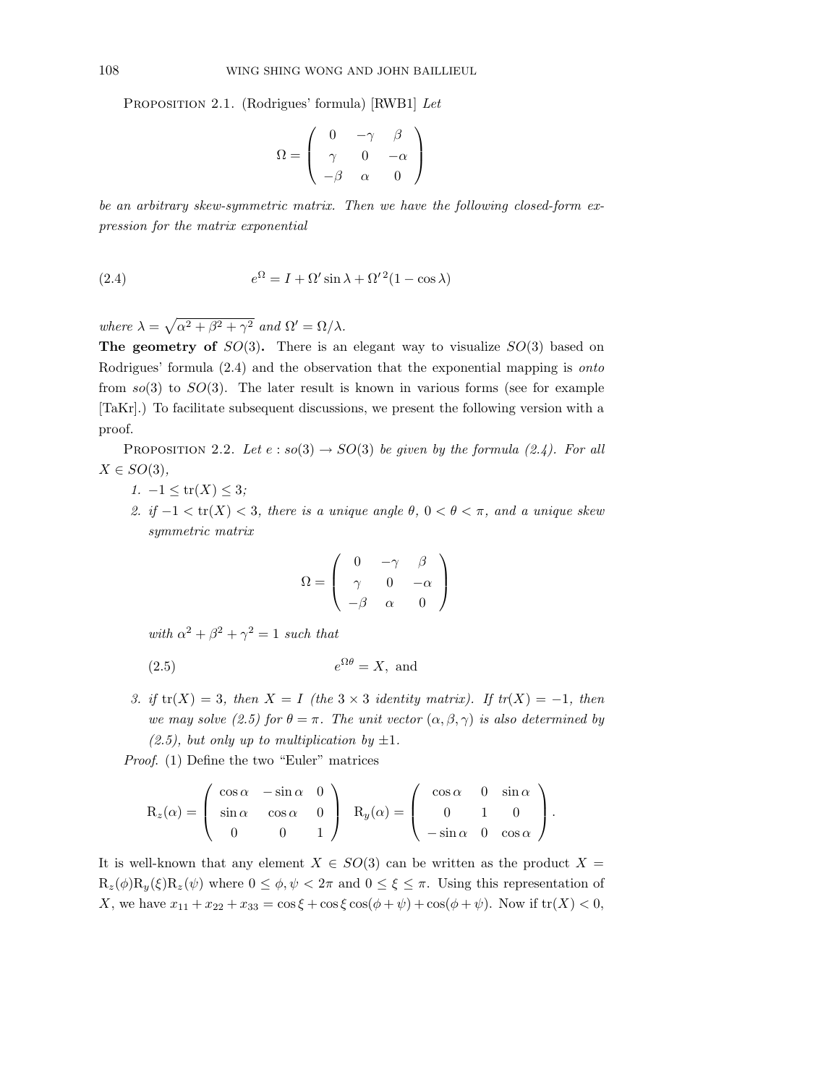PROPOSITION 2.1. (Rodrigues' formula) [RWB1] Let

$$
\Omega = \left( \begin{array}{ccc} 0 & -\gamma & \beta \\ \gamma & 0 & -\alpha \\ -\beta & \alpha & 0 \end{array} \right)
$$

be an arbitrary skew-symmetric matrix. Then we have the following closed-form expression for the matrix exponential

(2.4) 
$$
e^{\Omega} = I + \Omega' \sin \lambda + \Omega'^2 (1 - \cos \lambda)
$$

where  $\lambda = \sqrt{\alpha^2 + \beta^2 + \gamma^2}$  and  $\Omega' = \Omega/\lambda$ .

The geometry of  $SO(3)$ . There is an elegant way to visualize  $SO(3)$  based on Rodrigues' formula  $(2.4)$  and the observation that the exponential mapping is *onto* from  $so(3)$  to  $SO(3)$ . The later result is known in various forms (see for example [TaKr].) To facilitate subsequent discussions, we present the following version with a proof.

PROPOSITION 2.2. Let  $e : so(3) \rightarrow SO(3)$  be given by the formula (2.4). For all  $X \in SO(3),$ 

- 1.  $-1 \leq tr(X) \leq 3;$
- 2. if  $-1 < \text{tr}(X) < 3$ , there is a unique angle  $\theta$ ,  $0 < \theta < \pi$ , and a unique skew symmetric matrix

$$
\Omega = \left( \begin{array}{ccc} 0 & -\gamma & \beta \\ \gamma & 0 & -\alpha \\ -\beta & \alpha & 0 \end{array} \right)
$$

with  $\alpha^2 + \beta^2 + \gamma^2 = 1$  such that

$$
(2.5) \t\t e^{\Omega \theta} = X, \text{ and}
$$

3. if  $tr(X) = 3$ , then  $X = I$  (the  $3 \times 3$  identity matrix). If  $tr(X) = -1$ , then we may solve (2.5) for  $\theta = \pi$ . The unit vector  $(\alpha, \beta, \gamma)$  is also determined by  $(2.5)$ , but only up to multiplication by  $\pm 1$ .

Proof. (1) Define the two "Euler" matrices

$$
R_z(\alpha) = \begin{pmatrix} \cos \alpha & -\sin \alpha & 0 \\ \sin \alpha & \cos \alpha & 0 \\ 0 & 0 & 1 \end{pmatrix} R_y(\alpha) = \begin{pmatrix} \cos \alpha & 0 & \sin \alpha \\ 0 & 1 & 0 \\ -\sin \alpha & 0 & \cos \alpha \end{pmatrix}.
$$

It is well-known that any element  $X \in SO(3)$  can be written as the product  $X =$  $R_z(\phi)R_y(\xi)R_z(\psi)$  where  $0 \leq \phi, \psi < 2\pi$  and  $0 \leq \xi \leq \pi$ . Using this representation of X, we have  $x_{11} + x_{22} + x_{33} = \cos \xi + \cos \xi \cos(\phi + \psi) + \cos(\phi + \psi)$ . Now if  $tr(X) < 0$ ,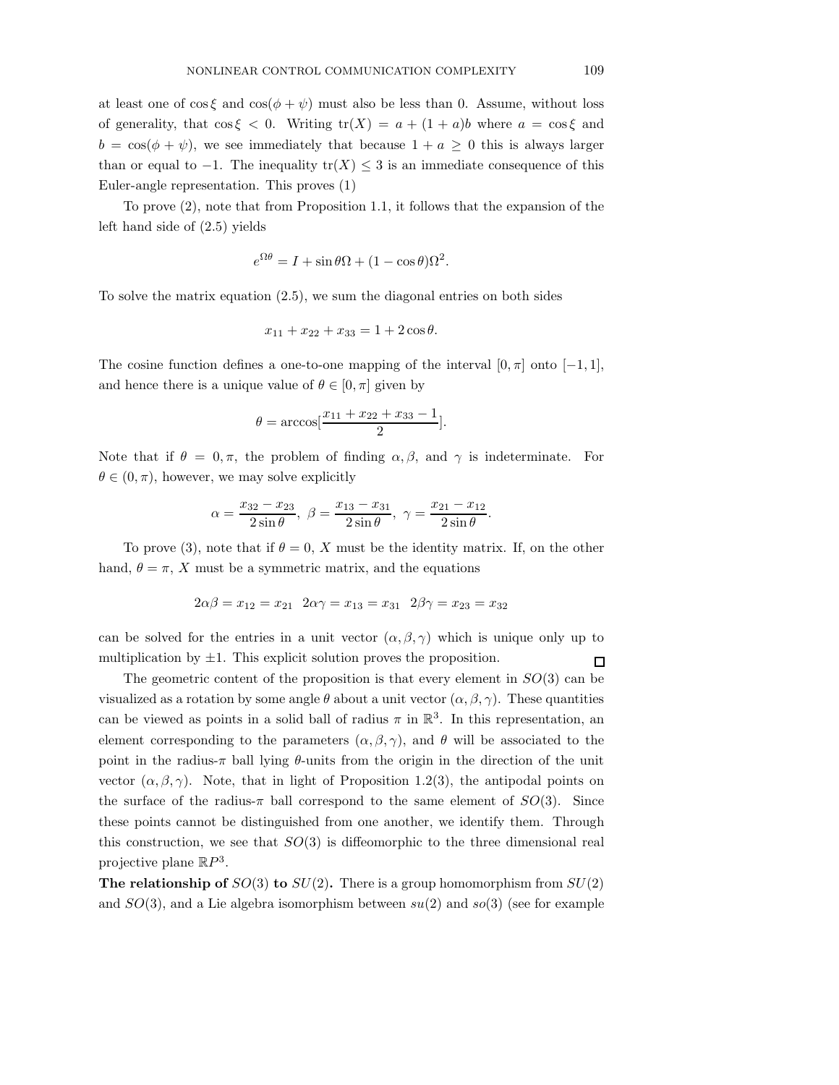at least one of  $\cos \xi$  and  $\cos(\phi + \psi)$  must also be less than 0. Assume, without loss of generality, that  $\cos \xi < 0$ . Writing  $\text{tr}(X) = a + (1 + a)b$  where  $a = \cos \xi$  and  $b = \cos(\phi + \psi)$ , we see immediately that because  $1 + a \geq 0$  this is always larger than or equal to  $-1$ . The inequality tr(X)  $\leq$  3 is an immediate consequence of this Euler-angle representation. This proves (1)

To prove (2), note that from Proposition 1.1, it follows that the expansion of the left hand side of (2.5) yields

$$
e^{\Omega \theta} = I + \sin \theta \Omega + (1 - \cos \theta) \Omega^2.
$$

To solve the matrix equation (2.5), we sum the diagonal entries on both sides

$$
x_{11} + x_{22} + x_{33} = 1 + 2\cos\theta.
$$

The cosine function defines a one-to-one mapping of the interval  $[0, \pi]$  onto  $[-1, 1]$ , and hence there is a unique value of  $\theta \in [0, \pi]$  given by

$$
\theta = \arccos[\frac{x_{11} + x_{22} + x_{33} - 1}{2}].
$$

Note that if  $\theta = 0, \pi$ , the problem of finding  $\alpha, \beta$ , and  $\gamma$  is indeterminate. For  $\theta \in (0, \pi)$ , however, we may solve explicitly

$$
\alpha = \frac{x_{32} - x_{23}}{2\sin\theta}, \ \beta = \frac{x_{13} - x_{31}}{2\sin\theta}, \ \gamma = \frac{x_{21} - x_{12}}{2\sin\theta}.
$$

To prove (3), note that if  $\theta = 0$ , X must be the identity matrix. If, on the other hand,  $\theta = \pi$ , X must be a symmetric matrix, and the equations

$$
2\alpha\beta = x_{12} = x_{21}
$$
  $2\alpha\gamma = x_{13} = x_{31}$   $2\beta\gamma = x_{23} = x_{32}$ 

can be solved for the entries in a unit vector  $(\alpha, \beta, \gamma)$  which is unique only up to multiplication by  $\pm 1$ . This explicit solution proves the proposition.  $\Box$ 

The geometric content of the proposition is that every element in  $SO(3)$  can be visualized as a rotation by some angle  $\theta$  about a unit vector  $(\alpha, \beta, \gamma)$ . These quantities can be viewed as points in a solid ball of radius  $\pi$  in  $\mathbb{R}^3$ . In this representation, an element corresponding to the parameters  $(\alpha, \beta, \gamma)$ , and  $\theta$  will be associated to the point in the radius- $\pi$  ball lying  $\theta$ -units from the origin in the direction of the unit vector  $(\alpha, \beta, \gamma)$ . Note, that in light of Proposition 1.2(3), the antipodal points on the surface of the radius- $\pi$  ball correspond to the same element of  $SO(3)$ . Since these points cannot be distinguished from one another, we identify them. Through this construction, we see that  $SO(3)$  is diffeomorphic to the three dimensional real projective plane  $\mathbb{R}P^3$ .

**The relationship of**  $SO(3)$  to  $SU(2)$ . There is a group homomorphism from  $SU(2)$ and  $SO(3)$ , and a Lie algebra isomorphism between  $su(2)$  and  $so(3)$  (see for example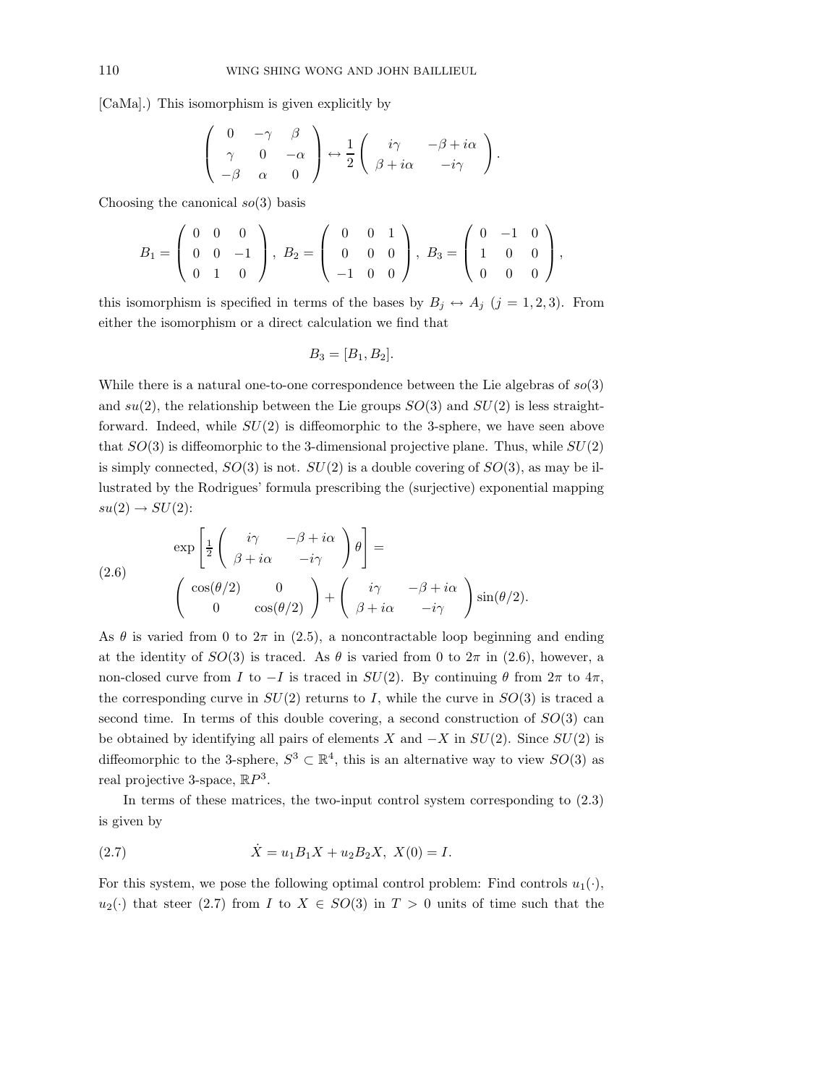[CaMa].) This isomorphism is given explicitly by

$$
\left(\begin{array}{ccc} 0 & -\gamma & \beta \\ \gamma & 0 & -\alpha \\ -\beta & \alpha & 0 \end{array}\right) \leftrightarrow \frac{1}{2} \left(\begin{array}{ccc} i\gamma & -\beta + i\alpha \\ \beta + i\alpha & -i\gamma \end{array}\right).
$$

Choosing the canonical  $so(3)$  basis

$$
B_1 = \left(\begin{array}{ccc} 0 & 0 & 0 \\ 0 & 0 & -1 \\ 0 & 1 & 0 \end{array}\right), \ B_2 = \left(\begin{array}{ccc} 0 & 0 & 1 \\ 0 & 0 & 0 \\ -1 & 0 & 0 \end{array}\right), \ B_3 = \left(\begin{array}{ccc} 0 & -1 & 0 \\ 1 & 0 & 0 \\ 0 & 0 & 0 \end{array}\right),
$$

this isomorphism is specified in terms of the bases by  $B_j \leftrightarrow A_j$   $(j = 1, 2, 3)$ . From either the isomorphism or a direct calculation we find that

$$
B_3=[B_1,B_2].
$$

While there is a natural one-to-one correspondence between the Lie algebras of  $so(3)$ and  $su(2)$ , the relationship between the Lie groups  $SO(3)$  and  $SU(2)$  is less straightforward. Indeed, while  $SU(2)$  is diffeomorphic to the 3-sphere, we have seen above that  $SO(3)$  is diffeomorphic to the 3-dimensional projective plane. Thus, while  $SU(2)$ is simply connected,  $SO(3)$  is not.  $SU(2)$  is a double covering of  $SO(3)$ , as may be illustrated by the Rodrigues' formula prescribing the (surjective) exponential mapping  $su(2) \rightarrow SU(2)$ :

(2.6)  
\n
$$
\exp\left[\frac{1}{2}\begin{pmatrix} i\gamma & -\beta + i\alpha \\ \beta + i\alpha & -i\gamma \end{pmatrix}\theta\right] =
$$
\n
$$
\begin{pmatrix}\n\cos(\theta/2) & 0 \\
0 & \cos(\theta/2)\n\end{pmatrix} + \begin{pmatrix}\ni\gamma & -\beta + i\alpha \\ \beta + i\alpha & -i\gamma\n\end{pmatrix}\sin(\theta/2).
$$

As  $\theta$  is varied from 0 to  $2\pi$  in (2.5), a noncontractable loop beginning and ending at the identity of  $SO(3)$  is traced. As  $\theta$  is varied from 0 to  $2\pi$  in (2.6), however, a non-closed curve from I to  $-I$  is traced in  $SU(2)$ . By continuing  $\theta$  from  $2\pi$  to  $4\pi$ , the corresponding curve in  $SU(2)$  returns to I, while the curve in  $SO(3)$  is traced a second time. In terms of this double covering, a second construction of  $SO(3)$  can be obtained by identifying all pairs of elements X and  $-X$  in  $SU(2)$ . Since  $SU(2)$  is diffeomorphic to the 3-sphere,  $S^3 \subset \mathbb{R}^4$ , this is an alternative way to view  $SO(3)$  as real projective 3-space,  $\mathbb{R}P^3$ .

In terms of these matrices, the two-input control system corresponding to (2.3) is given by

(2.7) 
$$
\dot{X} = u_1 B_1 X + u_2 B_2 X, \ X(0) = I.
$$

For this system, we pose the following optimal control problem: Find controls  $u_1(\cdot)$ ,  $u_2(\cdot)$  that steer (2.7) from I to  $X \in SO(3)$  in  $T > 0$  units of time such that the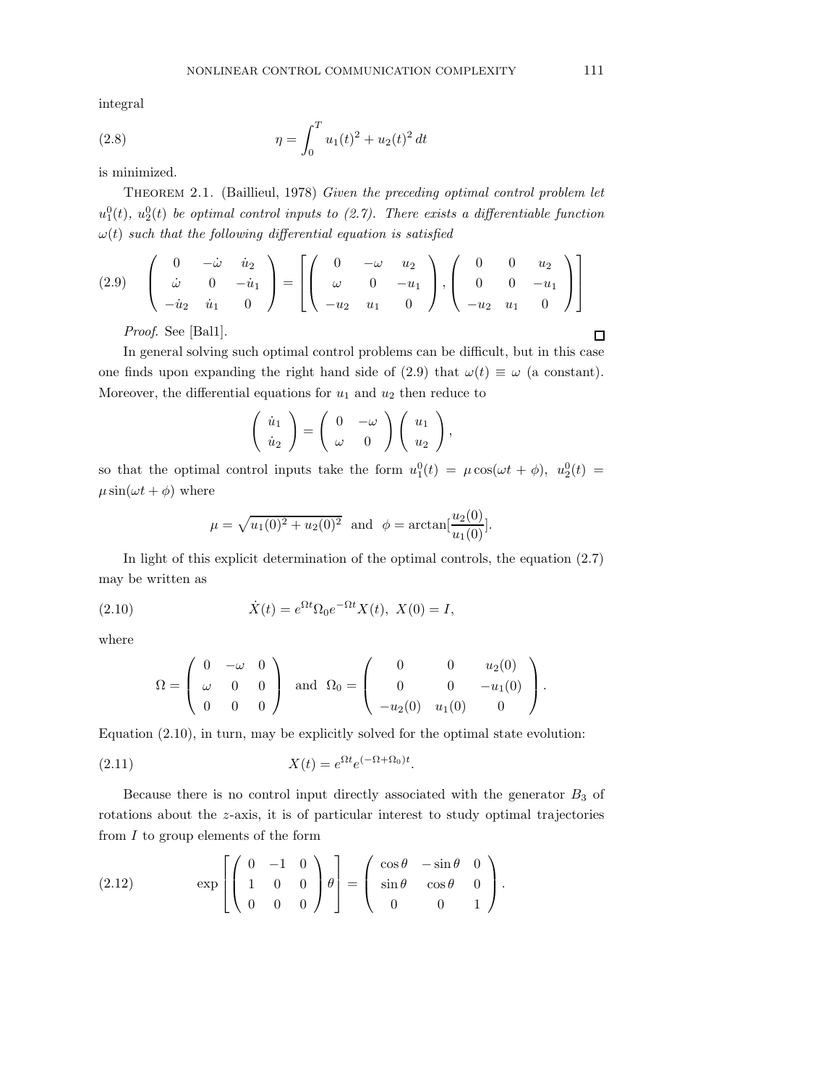integral

(2.8) 
$$
\eta = \int_0^T u_1(t)^2 + u_2(t)^2 dt
$$

is minimized.

Theorem 2.1. (Baillieul, 1978) Given the preceding optimal control problem let  $u_1^0(t)$ ,  $u_2^0(t)$  be optimal control inputs to (2.7). There exists a differentiable function  $\omega(t)$  such that the following differential equation is satisfied

$$
(2.9) \quad \begin{pmatrix} 0 & -\dot{\omega} & \dot{u}_2 \\ \dot{\omega} & 0 & -\dot{u}_1 \\ -\dot{u}_2 & \dot{u}_1 & 0 \end{pmatrix} = \left[ \begin{pmatrix} 0 & -\omega & u_2 \\ \omega & 0 & -u_1 \\ -u_2 & u_1 & 0 \end{pmatrix}, \begin{pmatrix} 0 & 0 & u_2 \\ 0 & 0 & -u_1 \\ -u_2 & u_1 & 0 \end{pmatrix} \right]
$$

Proof. See [Bal1].

In general solving such optimal control problems can be difficult, but in this case one finds upon expanding the right hand side of (2.9) that  $\omega(t) \equiv \omega$  (a constant). Moreover, the differential equations for  $u_1$  and  $u_2$  then reduce to

$$
\left(\begin{array}{c}\n\dot{u}_1 \\
\dot{u}_2\n\end{array}\right) = \left(\begin{array}{cc}\n0 & -\omega \\
\omega & 0\n\end{array}\right) \left(\begin{array}{c}\nu_1 \\
u_2\n\end{array}\right),
$$

so that the optimal control inputs take the form  $u_1^0(t) = \mu \cos(\omega t + \phi)$ ,  $u_2^0(t) =$  $\mu \sin(\omega t + \phi)$  where

$$
\mu = \sqrt{u_1(0)^2 + u_2(0)^2}
$$
 and  $\phi = \arctan[\frac{u_2(0)}{u_1(0)}].$ 

In light of this explicit determination of the optimal controls, the equation (2.7) may be written as

(2.10) 
$$
\dot{X}(t) = e^{\Omega t} \Omega_0 e^{-\Omega t} X(t), \ X(0) = I,
$$

where

$$
\Omega = \left(\begin{array}{ccc} 0 & -\omega & 0 \\ \omega & 0 & 0 \\ 0 & 0 & 0 \end{array}\right) \text{ and } \Omega_0 = \left(\begin{array}{ccc} 0 & 0 & u_2(0) \\ 0 & 0 & -u_1(0) \\ -u_2(0) & u_1(0) & 0 \end{array}\right).
$$

Equation (2.10), in turn, may be explicitly solved for the optimal state evolution:

$$
(2.11) \t\t X(t) = e^{\Omega t} e^{(-\Omega + \Omega_0)t}.
$$

Because there is no control input directly associated with the generator  $B_3$  of rotations about the z-axis, it is of particular interest to study optimal trajectories from  $I$  to group elements of the form

(2.12) 
$$
\exp \left[ \begin{pmatrix} 0 & -1 & 0 \\ 1 & 0 & 0 \\ 0 & 0 & 0 \end{pmatrix} \theta \right] = \begin{pmatrix} \cos \theta & -\sin \theta & 0 \\ \sin \theta & \cos \theta & 0 \\ 0 & 0 & 1 \end{pmatrix}.
$$

 $\Box$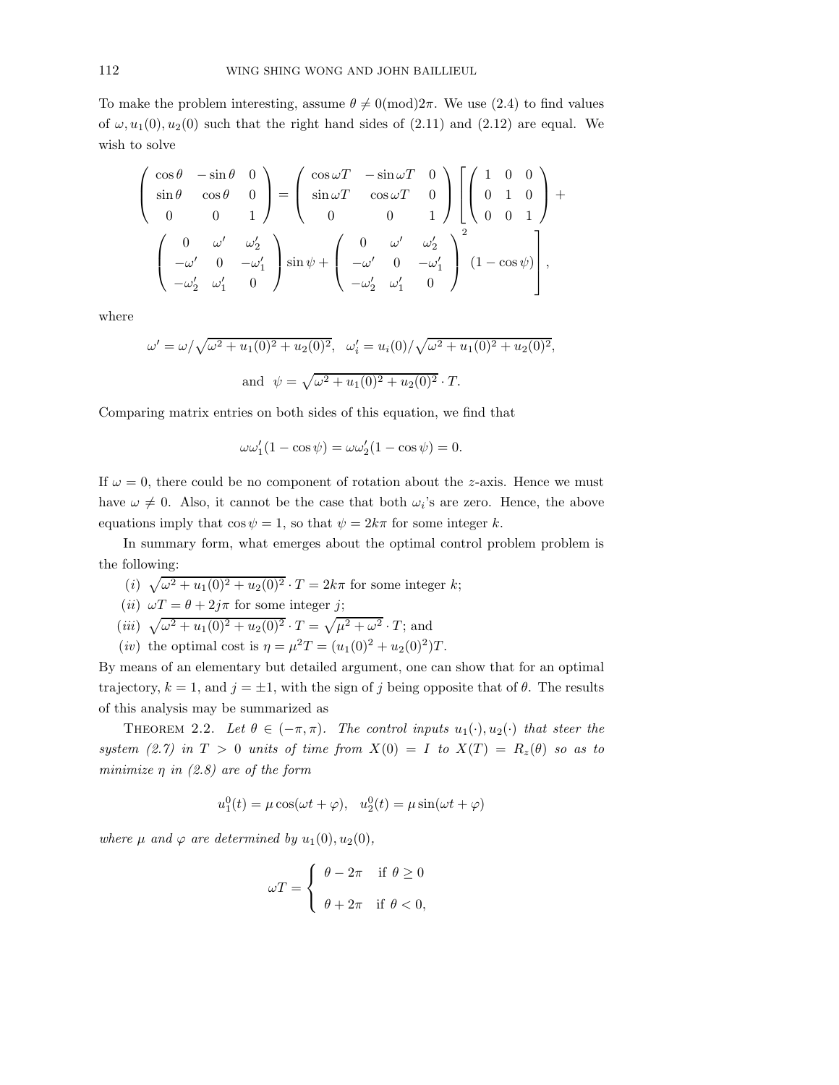To make the problem interesting, assume  $\theta \neq 0 \pmod{2\pi}$ . We use (2.4) to find values of  $\omega$ ,  $u_1(0)$ ,  $u_2(0)$  such that the right hand sides of (2.11) and (2.12) are equal. We wish to solve

$$
\begin{pmatrix}\n\cos \theta & -\sin \theta & 0 \\
\sin \theta & \cos \theta & 0 \\
0 & 0 & 1\n\end{pmatrix} = \begin{pmatrix}\n\cos \omega T & -\sin \omega T & 0 \\
\sin \omega T & \cos \omega T & 0 \\
0 & 0 & 1\n\end{pmatrix} \begin{bmatrix}\n1 & 0 & 0 \\
0 & 1 & 0 \\
0 & 0 & 1\n\end{bmatrix} + \begin{pmatrix}\n0 & \omega' & \omega'_2 \\
-\omega' & 0 & -\omega'_1 \\
-\omega'_2 & \omega'_1 & 0\n\end{pmatrix} \sin \psi + \begin{pmatrix}\n0 & \omega' & \omega'_2 \\
-\omega' & 0 & -\omega'_1 \\
-\omega'_2 & \omega'_1 & 0\n\end{pmatrix}^2 (1 - \cos \psi)\right],
$$

where

$$
\omega' = \omega / \sqrt{\omega^2 + u_1(0)^2 + u_2(0)^2}, \quad \omega_i' = u_i(0) / \sqrt{\omega^2 + u_1(0)^2 + u_2(0)^2},
$$
  
and 
$$
\psi = \sqrt{\omega^2 + u_1(0)^2 + u_2(0)^2} \cdot T.
$$

Comparing matrix entries on both sides of this equation, we find that

$$
\omega \omega_1'(1 - \cos \psi) = \omega \omega_2'(1 - \cos \psi) = 0.
$$

If  $\omega = 0$ , there could be no component of rotation about the z-axis. Hence we must have  $\omega \neq 0$ . Also, it cannot be the case that both  $\omega_i$ 's are zero. Hence, the above equations imply that  $\cos \psi = 1$ , so that  $\psi = 2k\pi$  for some integer k.

In summary form, what emerges about the optimal control problem problem is the following:

(*i*)  $\sqrt{\omega^2 + u_1(0)^2 + u_2(0)^2} \cdot T = 2k\pi$  for some integer k;

(*ii*) 
$$
\omega T = \theta + 2j\pi
$$
 for some integer *j*;

- (*iii*)  $\sqrt{\omega^2 + u_1(0)^2 + u_2(0)^2} \cdot T = \sqrt{\mu^2 + \omega^2} \cdot T$ ; and
- (*iv*) the optimal cost is  $\eta = \mu^2 T = (u_1(0)^2 + u_2(0)^2)T$ .

By means of an elementary but detailed argument, one can show that for an optimal trajectory,  $k = 1$ , and  $j = \pm 1$ , with the sign of j being opposite that of  $\theta$ . The results of this analysis may be summarized as

THEOREM 2.2. Let  $\theta \in (-\pi, \pi)$ . The control inputs  $u_1(\cdot), u_2(\cdot)$  that steer the system (2.7) in  $T > 0$  units of time from  $X(0) = I$  to  $X(T) = R_z(\theta)$  so as to minimize  $\eta$  in (2.8) are of the form

$$
u_1^0(t) = \mu \cos(\omega t + \varphi), \quad u_2^0(t) = \mu \sin(\omega t + \varphi)
$$

where  $\mu$  and  $\varphi$  are determined by  $u_1(0), u_2(0),$ 

$$
\omega T = \begin{cases} \theta - 2\pi & \text{if } \theta \ge 0 \\ \theta + 2\pi & \text{if } \theta < 0, \end{cases}
$$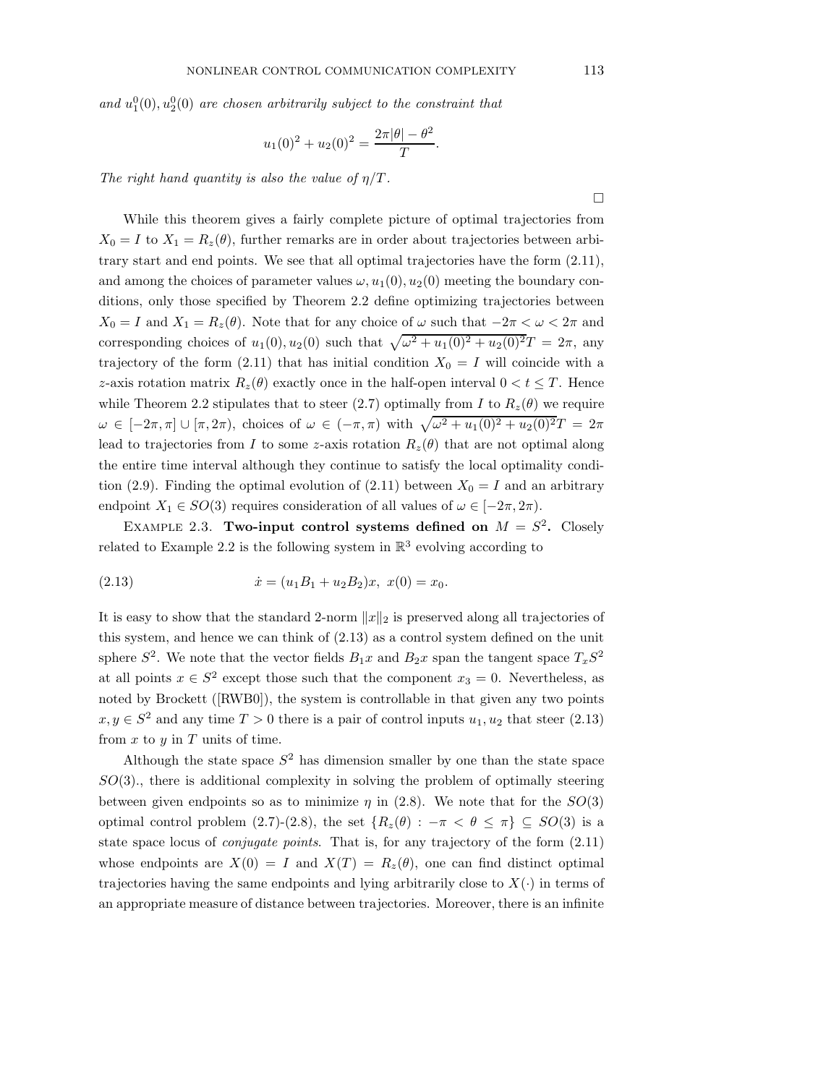and  $u_1^0(0), u_2^0(0)$  are chosen arbitrarily subject to the constraint that

$$
u_1(0)^2 + u_2(0)^2 = \frac{2\pi|\theta| - \theta^2}{T}.
$$

The right hand quantity is also the value of  $\eta/T$ .

While this theorem gives a fairly complete picture of optimal trajectories from  $X_0 = I$  to  $X_1 = R_z(\theta)$ , further remarks are in order about trajectories between arbitrary start and end points. We see that all optimal trajectories have the form (2.11), and among the choices of parameter values  $\omega$ ,  $u_1(0)$ ,  $u_2(0)$  meeting the boundary conditions, only those specified by Theorem 2.2 define optimizing trajectories between  $X_0 = I$  and  $X_1 = R_z(\theta)$ . Note that for any choice of  $\omega$  such that  $-2\pi < \omega < 2\pi$  and corresponding choices of  $u_1(0), u_2(0)$  such that  $\sqrt{\omega^2 + u_1(0)^2 + u_2(0)^2}T = 2\pi$ , any trajectory of the form (2.11) that has initial condition  $X_0 = I$  will coincide with a z-axis rotation matrix  $R_z(\theta)$  exactly once in the half-open interval  $0 < t \leq T$ . Hence while Theorem 2.2 stipulates that to steer (2.7) optimally from I to  $R_z(\theta)$  we require  $\omega \in [-2\pi, \pi] \cup [\pi, 2\pi)$ , choices of  $\omega \in (-\pi, \pi)$  with  $\sqrt{\omega^2 + u_1(0)^2 + u_2(0)^2}T = 2\pi$ lead to trajectories from I to some z-axis rotation  $R_z(\theta)$  that are not optimal along the entire time interval although they continue to satisfy the local optimality condition (2.9). Finding the optimal evolution of (2.11) between  $X_0 = I$  and an arbitrary endpoint  $X_1 \in SO(3)$  requires consideration of all values of  $\omega \in [-2\pi, 2\pi)$ .

EXAMPLE 2.3. Two-input control systems defined on  $M = S^2$ . Closely related to Example 2.2 is the following system in  $\mathbb{R}^3$  evolving according to

(2.13) 
$$
\dot{x} = (u_1 B_1 + u_2 B_2)x, \ x(0) = x_0.
$$

It is easy to show that the standard 2-norm  $||x||_2$  is preserved along all trajectories of this system, and hence we can think of (2.13) as a control system defined on the unit sphere  $S^2$ . We note that the vector fields  $B_1x$  and  $B_2x$  span the tangent space  $T_xS^2$ at all points  $x \in S^2$  except those such that the component  $x_3 = 0$ . Nevertheless, as noted by Brockett ([RWB0]), the system is controllable in that given any two points  $x, y \in S^2$  and any time  $T > 0$  there is a pair of control inputs  $u_1, u_2$  that steer  $(2.13)$ from  $x$  to  $y$  in  $T$  units of time.

Although the state space  $S^2$  has dimension smaller by one than the state space  $SO(3)$ , there is additional complexity in solving the problem of optimally steering between given endpoints so as to minimize  $\eta$  in (2.8). We note that for the  $SO(3)$ optimal control problem (2.7)-(2.8), the set  ${R_z(\theta) : -\pi < \theta \leq \pi} \subseteq SO(3)$  is a state space locus of *conjugate points*. That is, for any trajectory of the form  $(2.11)$ whose endpoints are  $X(0) = I$  and  $X(T) = R_z(\theta)$ , one can find distinct optimal trajectories having the same endpoints and lying arbitrarily close to  $X(\cdot)$  in terms of an appropriate measure of distance between trajectories. Moreover, there is an infinite

 $\Box$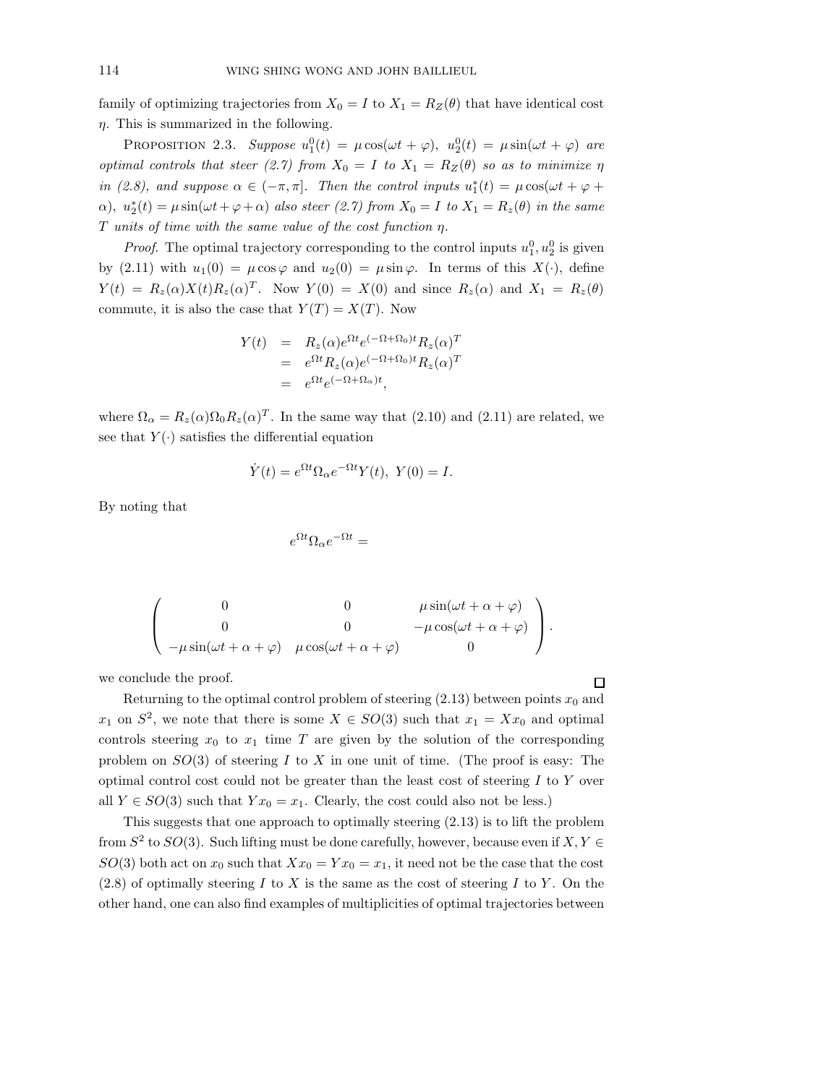family of optimizing trajectories from  $X_0 = I$  to  $X_1 = R_Z(\theta)$  that have identical cost  $\eta$ . This is summarized in the following.

PROPOSITION 2.3. Suppose  $u_1^0(t) = \mu \cos(\omega t + \varphi)$ ,  $u_2^0(t) = \mu \sin(\omega t + \varphi)$  are optimal controls that steer (2.7) from  $X_0 = I$  to  $X_1 = R_Z(\theta)$  so as to minimize  $\eta$ in (2.8), and suppose  $\alpha \in (-\pi, \pi]$ . Then the control inputs  $u_1^*(t) = \mu \cos(\omega t + \varphi + \pi)$  $\alpha$ ),  $u_2^*(t) = \mu \sin(\omega t + \varphi + \alpha)$  also steer (2.7) from  $X_0 = I$  to  $X_1 = R_z(\theta)$  in the same T units of time with the same value of the cost function  $\eta$ .

*Proof.* The optimal trajectory corresponding to the control inputs  $u_1^0, u_2^0$  is given by (2.11) with  $u_1(0) = \mu \cos \varphi$  and  $u_2(0) = \mu \sin \varphi$ . In terms of this  $X(\cdot)$ , define  $Y(t) = R_z(\alpha)X(t)R_z(\alpha)^T$ . Now  $Y(0) = X(0)$  and since  $R_z(\alpha)$  and  $X_1 = R_z(\theta)$ commute, it is also the case that  $Y(T) = X(T)$ . Now

$$
Y(t) = R_z(\alpha)e^{\Omega t}e^{(-\Omega + \Omega_0)t}R_z(\alpha)^T
$$
  
=  $e^{\Omega t}R_z(\alpha)e^{(-\Omega + \Omega_0)t}R_z(\alpha)^T$   
=  $e^{\Omega t}e^{(-\Omega + \Omega_\alpha)t}$ ,

where  $\Omega_{\alpha} = R_z(\alpha) \Omega_0 R_z(\alpha)^T$ . In the same way that (2.10) and (2.11) are related, we see that  $Y(\cdot)$  satisfies the differential equation

$$
\dot{Y}(t) = e^{\Omega t} \Omega_{\alpha} e^{-\Omega t} Y(t), \ Y(0) = I.
$$

By noting that

$$
e^{\Omega t} \Omega_\alpha e^{-\Omega t} =
$$

$$
\begin{pmatrix}\n0 & 0 & \mu \sin(\omega t + \alpha + \varphi) \\
0 & 0 & -\mu \cos(\omega t + \alpha + \varphi) \\
-\mu \sin(\omega t + \alpha + \varphi) & \mu \cos(\omega t + \alpha + \varphi) & 0\n\end{pmatrix}.
$$

we conclude the proof.

Returning to the optimal control problem of steering  $(2.13)$  between points  $x_0$  and  $x_1$  on  $S^2$ , we note that there is some  $X \in SO(3)$  such that  $x_1 = Xx_0$  and optimal controls steering  $x_0$  to  $x_1$  time T are given by the solution of the corresponding problem on  $SO(3)$  of steering I to X in one unit of time. (The proof is easy: The optimal control cost could not be greater than the least cost of steering  $I$  to  $Y$  over all  $Y \in SO(3)$  such that  $Y x_0 = x_1$ . Clearly, the cost could also not be less.)

This suggests that one approach to optimally steering (2.13) is to lift the problem from  $S^2$  to  $SO(3)$ . Such lifting must be done carefully, however, because even if  $X, Y \in$  $SO(3)$  both act on  $x_0$  such that  $Xx_0 = Yx_0 = x_1$ , it need not be the case that the cost  $(2.8)$  of optimally steering I to X is the same as the cost of steering I to Y. On the other hand, one can also find examples of multiplicities of optimal trajectories between

 $\Box$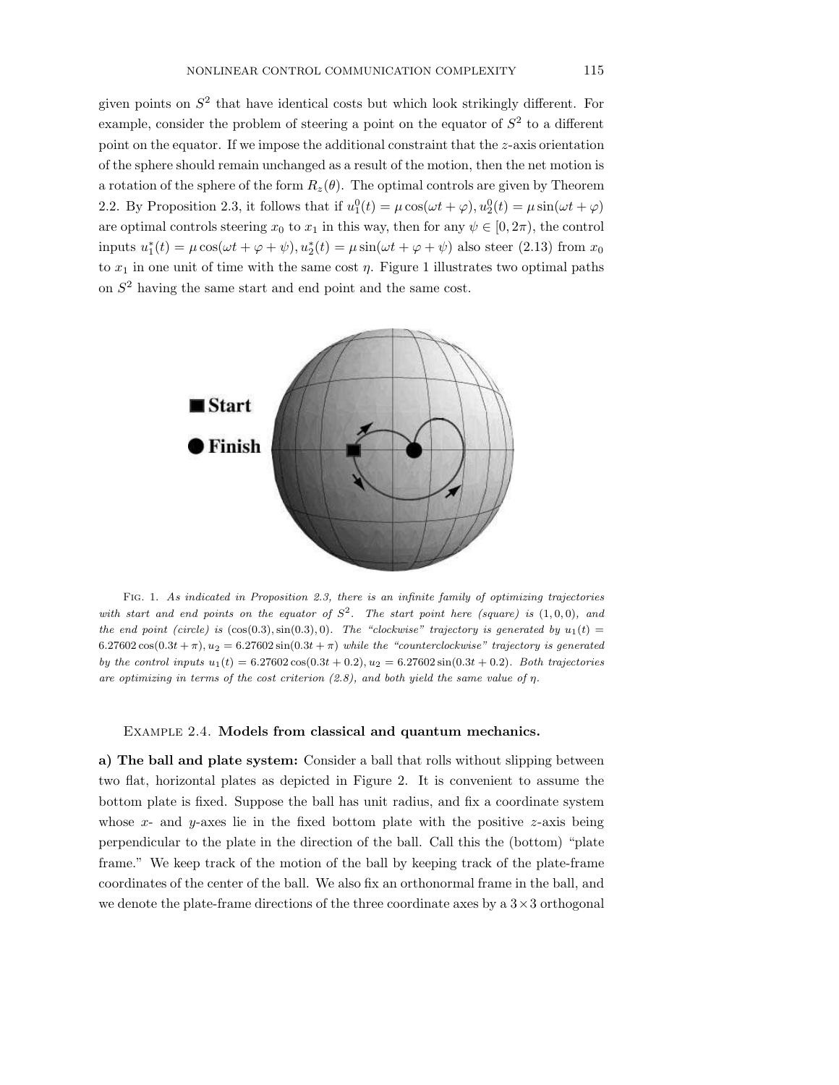given points on  $S<sup>2</sup>$  that have identical costs but which look strikingly different. For example, consider the problem of steering a point on the equator of  $S<sup>2</sup>$  to a different point on the equator. If we impose the additional constraint that the  $z$ -axis orientation of the sphere should remain unchanged as a result of the motion, then the net motion is a rotation of the sphere of the form  $R_z(\theta)$ . The optimal controls are given by Theorem 2.2. By Proposition 2.3, it follows that if  $u_1^0(t) = \mu \cos(\omega t + \varphi), u_2^0(t) = \mu \sin(\omega t + \varphi)$ are optimal controls steering  $x_0$  to  $x_1$  in this way, then for any  $\psi \in [0, 2\pi)$ , the control inputs  $u_1^*(t) = \mu \cos(\omega t + \varphi + \psi), u_2^*(t) = \mu \sin(\omega t + \varphi + \psi)$  also steer (2.13) from  $x_0$ to  $x_1$  in one unit of time with the same cost  $\eta$ . Figure 1 illustrates two optimal paths on  $S<sup>2</sup>$  having the same start and end point and the same cost.



Fig. 1. As indicated in Proposition 2.3, there is an infinite family of optimizing trajectories with start and end points on the equator of  $S^2$ . The start point here (square) is  $(1, 0, 0)$ , and the end point (circle) is  $(cos(0.3), sin(0.3), 0)$ . The "clockwise" trajectory is generated by  $u_1(t)$  $6.27602 \cos(0.3t + \pi), u_2 = 6.27602 \sin(0.3t + \pi)$  while the "counterclockwise" trajectory is generated by the control inputs  $u_1(t) = 6.27602 \cos(0.3t + 0.2), u_2 = 6.27602 \sin(0.3t + 0.2).$  Both trajectories are optimizing in terms of the cost criterion  $(2.8)$ , and both yield the same value of  $\eta$ .

## Example 2.4. Models from classical and quantum mechanics.

a) The ball and plate system: Consider a ball that rolls without slipping between two flat, horizontal plates as depicted in Figure 2. It is convenient to assume the bottom plate is fixed. Suppose the ball has unit radius, and fix a coordinate system whose  $x$ - and  $y$ -axes lie in the fixed bottom plate with the positive  $z$ -axis being perpendicular to the plate in the direction of the ball. Call this the (bottom) "plate frame." We keep track of the motion of the ball by keeping track of the plate-frame coordinates of the center of the ball. We also fix an orthonormal frame in the ball, and we denote the plate-frame directions of the three coordinate axes by a  $3 \times 3$  orthogonal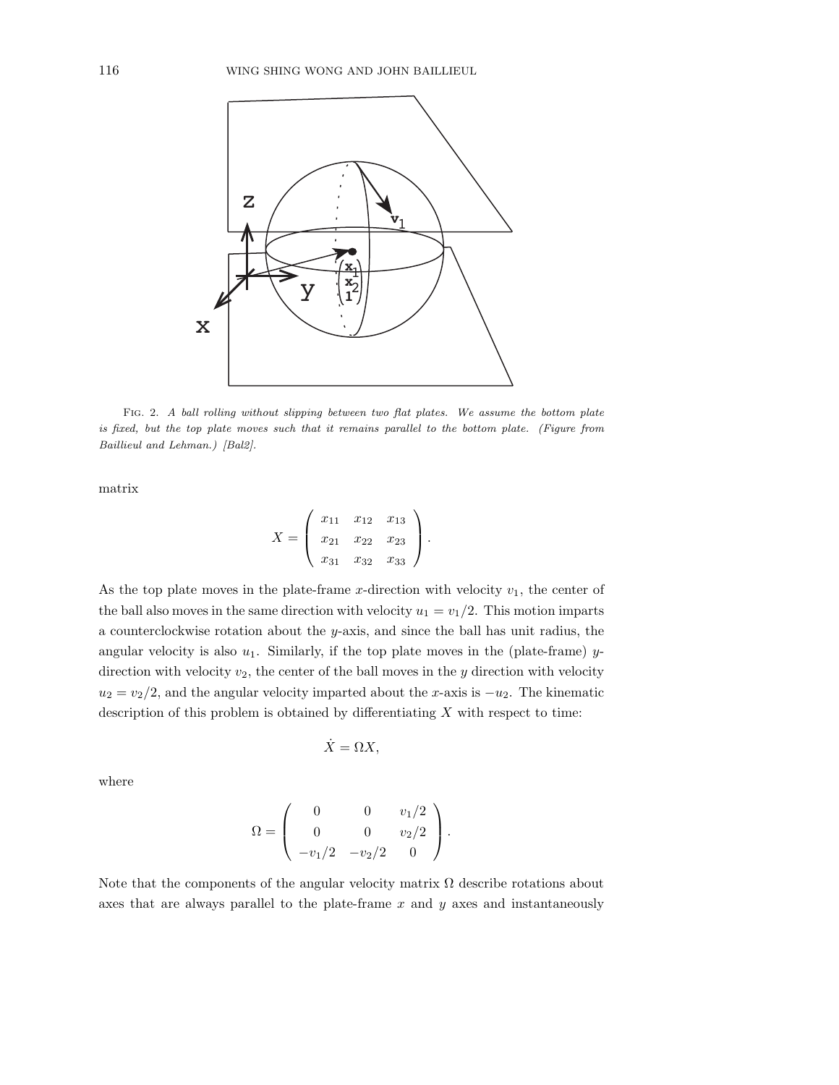

FIG. 2. A ball rolling without slipping between two flat plates. We assume the bottom plate is fixed, but the top plate moves such that it remains parallel to the bottom plate. (Figure from Baillieul and Lehman.) [Bal2].

matrix

$$
X = \left(\begin{array}{ccc} x_{11} & x_{12} & x_{13} \\ x_{21} & x_{22} & x_{23} \\ x_{31} & x_{32} & x_{33} \end{array}\right).
$$

As the top plate moves in the plate-frame x-direction with velocity  $v_1$ , the center of the ball also moves in the same direction with velocity  $u_1 = v_1/2$ . This motion imparts a counterclockwise rotation about the y-axis, and since the ball has unit radius, the angular velocity is also  $u_1$ . Similarly, if the top plate moves in the (plate-frame) ydirection with velocity  $v_2$ , the center of the ball moves in the y direction with velocity  $u_2 = v_2/2$ , and the angular velocity imparted about the x-axis is  $-u_2$ . The kinematic description of this problem is obtained by differentiating  $X$  with respect to time:

$$
\dot{X} = \Omega X,
$$

where

$$
\Omega = \begin{pmatrix} 0 & 0 & v_1/2 \\ 0 & 0 & v_2/2 \\ -v_1/2 & -v_2/2 & 0 \end{pmatrix}.
$$

Note that the components of the angular velocity matrix  $\Omega$  describe rotations about axes that are always parallel to the plate-frame  $x$  and  $y$  axes and instantaneously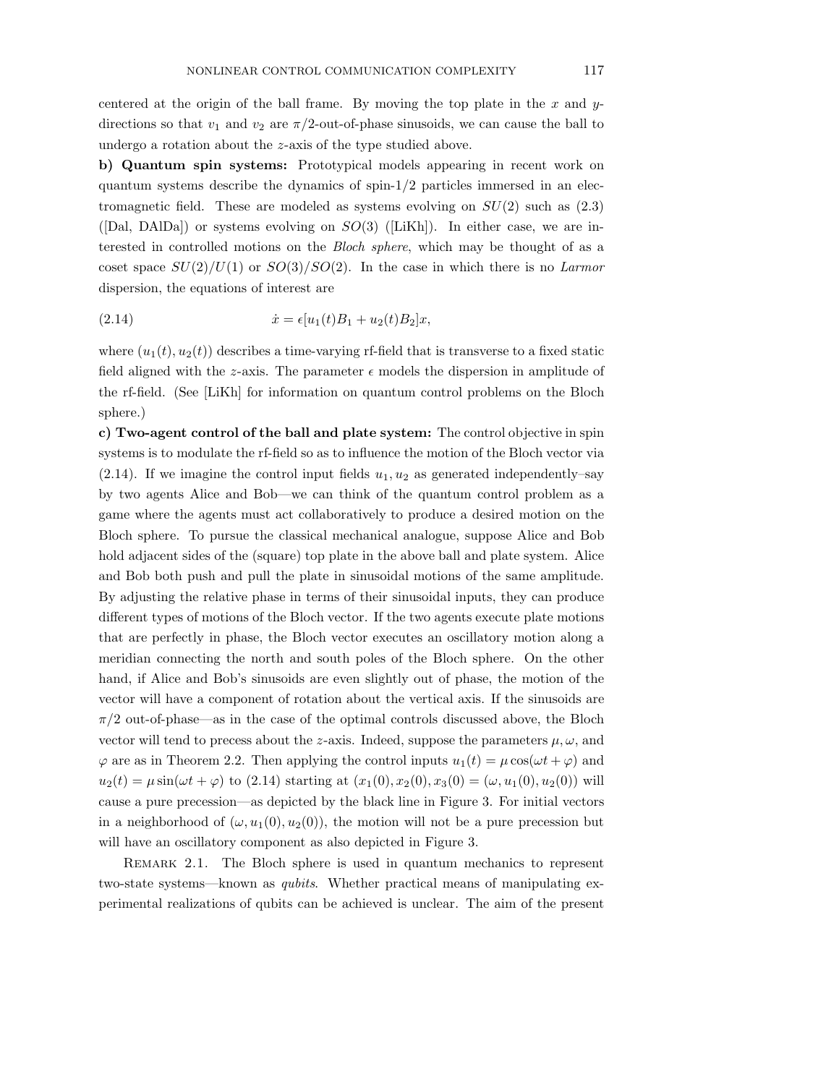centered at the origin of the ball frame. By moving the top plate in the  $x$  and  $y$ directions so that  $v_1$  and  $v_2$  are  $\pi/2$ -out-of-phase sinusoids, we can cause the ball to undergo a rotation about the z-axis of the type studied above.

b) Quantum spin systems: Prototypical models appearing in recent work on quantum systems describe the dynamics of spin- $1/2$  particles immersed in an electromagnetic field. These are modeled as systems evolving on  $SU(2)$  such as  $(2.3)$ ([Dal, DAlDa]) or systems evolving on  $SO(3)$  ([LiKh]). In either case, we are interested in controlled motions on the Bloch sphere, which may be thought of as a coset space  $SU(2)/U(1)$  or  $SO(3)/SO(2)$ . In the case in which there is no Larmor dispersion, the equations of interest are

(2.14) 
$$
\dot{x} = \epsilon [u_1(t)B_1 + u_2(t)B_2]x,
$$

where  $(u_1(t), u_2(t))$  describes a time-varying rf-field that is transverse to a fixed static field aligned with the z-axis. The parameter  $\epsilon$  models the dispersion in amplitude of the rf-field. (See [LiKh] for information on quantum control problems on the Bloch sphere.)

c) Two-agent control of the ball and plate system: The control objective in spin systems is to modulate the rf-field so as to influence the motion of the Bloch vector via (2.14). If we imagine the control input fields  $u_1, u_2$  as generated independently–say by two agents Alice and Bob—we can think of the quantum control problem as a game where the agents must act collaboratively to produce a desired motion on the Bloch sphere. To pursue the classical mechanical analogue, suppose Alice and Bob hold adjacent sides of the (square) top plate in the above ball and plate system. Alice and Bob both push and pull the plate in sinusoidal motions of the same amplitude. By adjusting the relative phase in terms of their sinusoidal inputs, they can produce different types of motions of the Bloch vector. If the two agents execute plate motions that are perfectly in phase, the Bloch vector executes an oscillatory motion along a meridian connecting the north and south poles of the Bloch sphere. On the other hand, if Alice and Bob's sinusoids are even slightly out of phase, the motion of the vector will have a component of rotation about the vertical axis. If the sinusoids are  $\pi/2$  out-of-phase—as in the case of the optimal controls discussed above, the Bloch vector will tend to precess about the z-axis. Indeed, suppose the parameters  $\mu, \omega$ , and  $\varphi$  are as in Theorem 2.2. Then applying the control inputs  $u_1(t) = \mu \cos(\omega t + \varphi)$  and  $u_2(t) = \mu \sin(\omega t + \varphi)$  to (2.14) starting at  $(x_1(0), x_2(0), x_3(0) = (\omega, u_1(0), u_2(0))$  will cause a pure precession—as depicted by the black line in Figure 3. For initial vectors in a neighborhood of  $(\omega, u_1(0), u_2(0))$ , the motion will not be a pure precession but will have an oscillatory component as also depicted in Figure 3.

REMARK 2.1. The Bloch sphere is used in quantum mechanics to represent two-state systems—known as qubits. Whether practical means of manipulating experimental realizations of qubits can be achieved is unclear. The aim of the present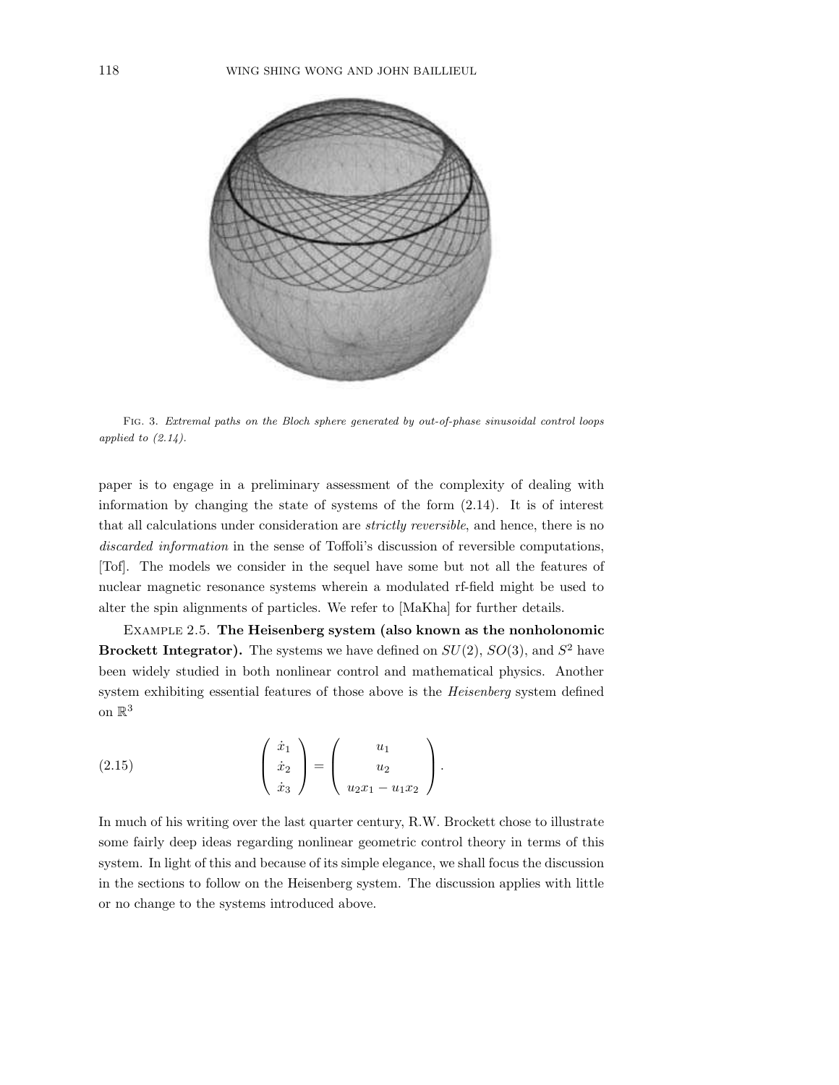

Fig. 3. Extremal paths on the Bloch sphere generated by out-of-phase sinusoidal control loops applied to  $(2.14)$ .

paper is to engage in a preliminary assessment of the complexity of dealing with information by changing the state of systems of the form (2.14). It is of interest that all calculations under consideration are strictly reversible, and hence, there is no discarded information in the sense of Toffoli's discussion of reversible computations, [Tof]. The models we consider in the sequel have some but not all the features of nuclear magnetic resonance systems wherein a modulated rf-field might be used to alter the spin alignments of particles. We refer to [MaKha] for further details.

Example 2.5. The Heisenberg system (also known as the nonholonomic **Brockett Integrator).** The systems we have defined on  $SU(2)$ ,  $SO(3)$ , and  $S^2$  have been widely studied in both nonlinear control and mathematical physics. Another system exhibiting essential features of those above is the Heisenberg system defined on  $\mathbb{R}^3$ 

(2.15) 
$$
\begin{pmatrix} \dot{x}_1 \\ \dot{x}_2 \\ \dot{x}_3 \end{pmatrix} = \begin{pmatrix} u_1 \\ u_2 \\ u_2 x_1 - u_1 x_2 \end{pmatrix}.
$$

In much of his writing over the last quarter century, R.W. Brockett chose to illustrate some fairly deep ideas regarding nonlinear geometric control theory in terms of this system. In light of this and because of its simple elegance, we shall focus the discussion in the sections to follow on the Heisenberg system. The discussion applies with little or no change to the systems introduced above.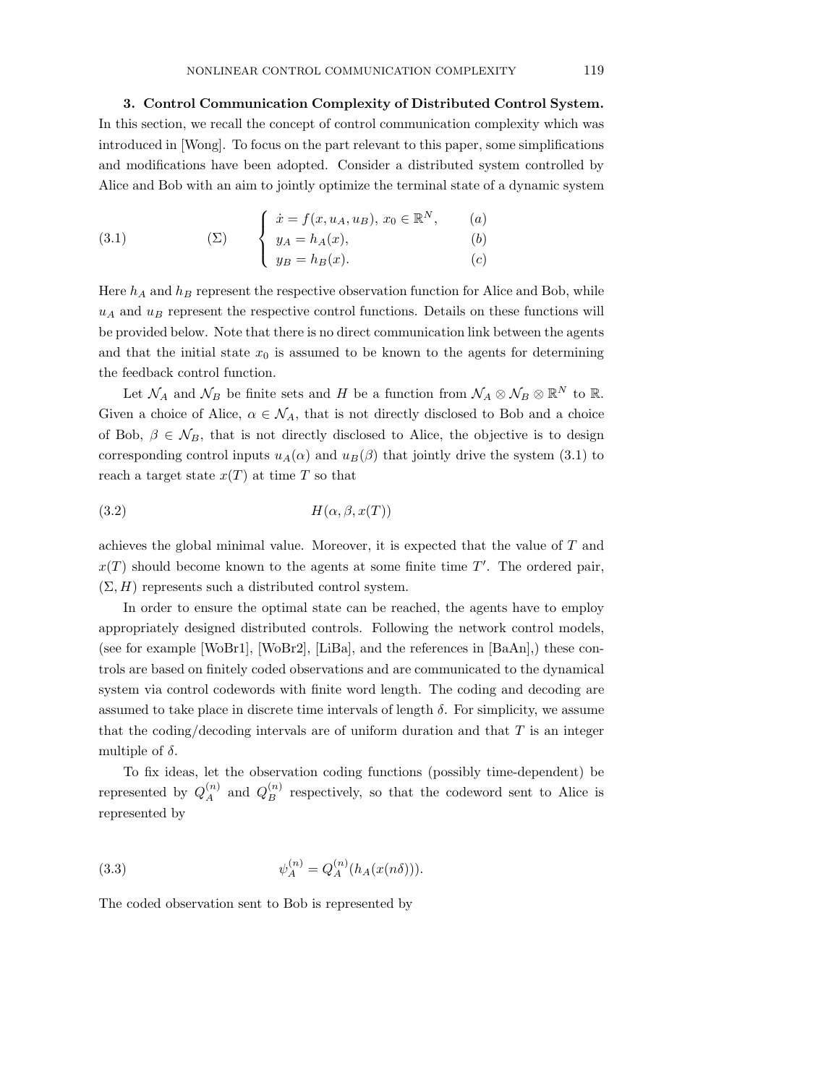3. Control Communication Complexity of Distributed Control System. In this section, we recall the concept of control communication complexity which was introduced in [Wong]. To focus on the part relevant to this paper, some simplifications and modifications have been adopted. Consider a distributed system controlled by Alice and Bob with an aim to jointly optimize the terminal state of a dynamic system

(3.1) 
$$
\begin{cases} \n\dot{x} = f(x, u_A, u_B), \, x_0 \in \mathbb{R}^N, & (a) \\
y_A = h_A(x), & (b) \\
y_B = h_B(x). & (c) \n\end{cases}
$$

Here  $h_A$  and  $h_B$  represent the respective observation function for Alice and Bob, while  $u_A$  and  $u_B$  represent the respective control functions. Details on these functions will be provided below. Note that there is no direct communication link between the agents and that the initial state  $x_0$  is assumed to be known to the agents for determining the feedback control function.

Let  $\mathcal{N}_A$  and  $\mathcal{N}_B$  be finite sets and H be a function from  $\mathcal{N}_A \otimes \mathcal{N}_B \otimes \mathbb{R}^N$  to  $\mathbb{R}$ . Given a choice of Alice,  $\alpha \in \mathcal{N}_A$ , that is not directly disclosed to Bob and a choice of Bob,  $\beta \in \mathcal{N}_B$ , that is not directly disclosed to Alice, the objective is to design corresponding control inputs  $u_A(\alpha)$  and  $u_B(\beta)$  that jointly drive the system (3.1) to reach a target state  $x(T)$  at time T so that

$$
(3.2) \t\t\t H(\alpha, \beta, x(T))
$$

achieves the global minimal value. Moreover, it is expected that the value of T and  $x(T)$  should become known to the agents at some finite time  $T'$ . The ordered pair,  $(\Sigma, H)$  represents such a distributed control system.

In order to ensure the optimal state can be reached, the agents have to employ appropriately designed distributed controls. Following the network control models, (see for example [WoBr1], [WoBr2], [LiBa], and the references in [BaAn],) these controls are based on finitely coded observations and are communicated to the dynamical system via control codewords with finite word length. The coding and decoding are assumed to take place in discrete time intervals of length  $\delta$ . For simplicity, we assume that the coding/decoding intervals are of uniform duration and that  $T$  is an integer multiple of  $\delta$ .

To fix ideas, let the observation coding functions (possibly time-dependent) be represented by  $Q_A^{(n)}$  and  $Q_B^{(n)}$  respectively, so that the codeword sent to Alice is represented by

(3.3) 
$$
\psi_A^{(n)} = Q_A^{(n)}(h_A(x(n\delta))).
$$

The coded observation sent to Bob is represented by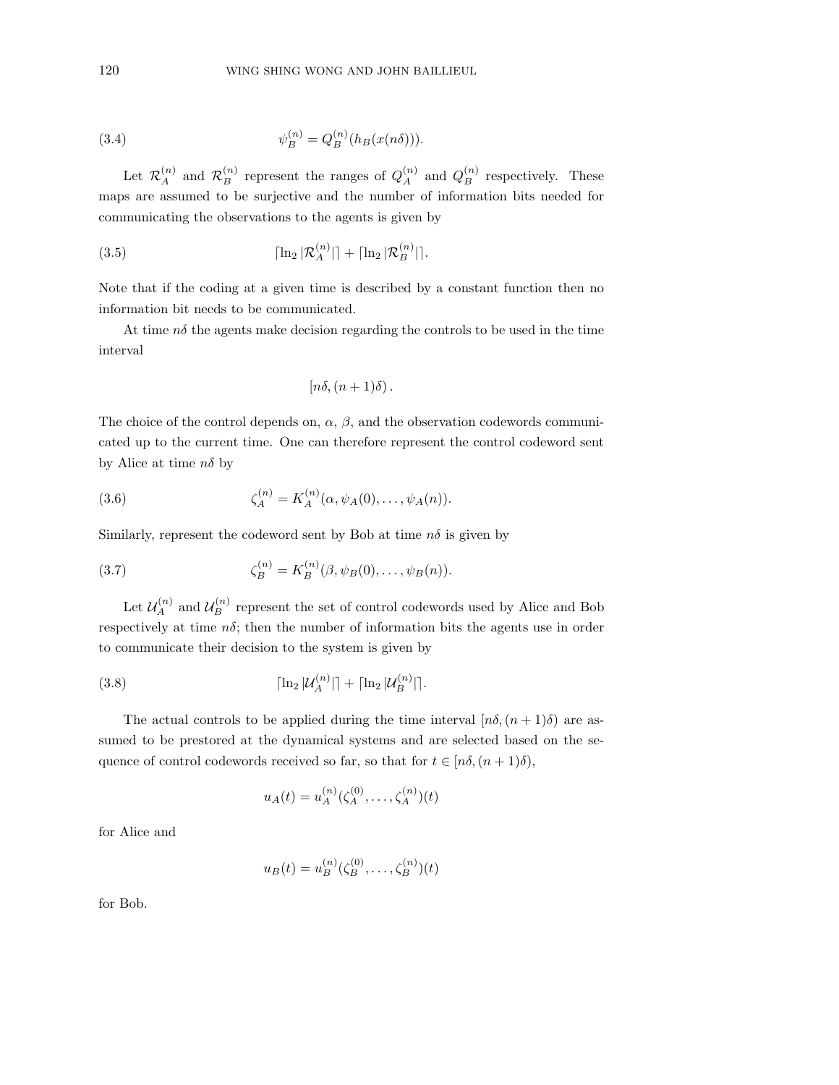(3.4) 
$$
\psi_B^{(n)} = Q_B^{(n)}(h_B(x(n\delta))).
$$

Let  $\mathcal{R}_A^{(n)}$  and  $\mathcal{R}_B^{(n)}$  represent the ranges of  $Q_A^{(n)}$  and  $Q_B^{(n)}$  respectively. These maps are assumed to be surjective and the number of information bits needed for communicating the observations to the agents is given by

(3.5) 
$$
\lceil \ln_2 |\mathcal{R}_A^{(n)}| \rceil + \lceil \ln_2 |\mathcal{R}_B^{(n)}| \rceil.
$$

Note that if the coding at a given time is described by a constant function then no information bit needs to be communicated.

At time  $n\delta$  the agents make decision regarding the controls to be used in the time interval

$$
[n\delta,(n+1)\delta).
$$

The choice of the control depends on,  $\alpha$ ,  $\beta$ , and the observation codewords communicated up to the current time. One can therefore represent the control codeword sent by Alice at time  $n\delta$  by

(3.6) 
$$
\zeta_A^{(n)} = K_A^{(n)}(\alpha, \psi_A(0), \dots, \psi_A(n)).
$$

Similarly, represent the codeword sent by Bob at time  $n\delta$  is given by

(3.7) 
$$
\zeta_B^{(n)} = K_B^{(n)}(\beta, \psi_B(0), \dots, \psi_B(n)).
$$

Let  $\mathcal{U}_A^{(n)}$  and  $\mathcal{U}_B^{(n)}$  represent the set of control codewords used by Alice and Bob respectively at time  $n\delta$ ; then the number of information bits the agents use in order to communicate their decision to the system is given by

(3.8) 
$$
\lceil \ln_2 |\mathcal{U}_A^{(n)}| \rceil + \lceil \ln_2 |\mathcal{U}_B^{(n)}| \rceil.
$$

The actual controls to be applied during the time interval  $[n\delta,(n+1)\delta)$  are assumed to be prestored at the dynamical systems and are selected based on the sequence of control codewords received so far, so that for  $t \in [n\delta, (n+1)\delta)$ ,

$$
u_A(t) = u_A^{(n)}(\zeta_A^{(0)}, \dots, \zeta_A^{(n)})(t)
$$

for Alice and

$$
u_B(t) = u_B^{(n)}(\zeta_B^{(0)}, \dots, \zeta_B^{(n)})(t)
$$

for Bob.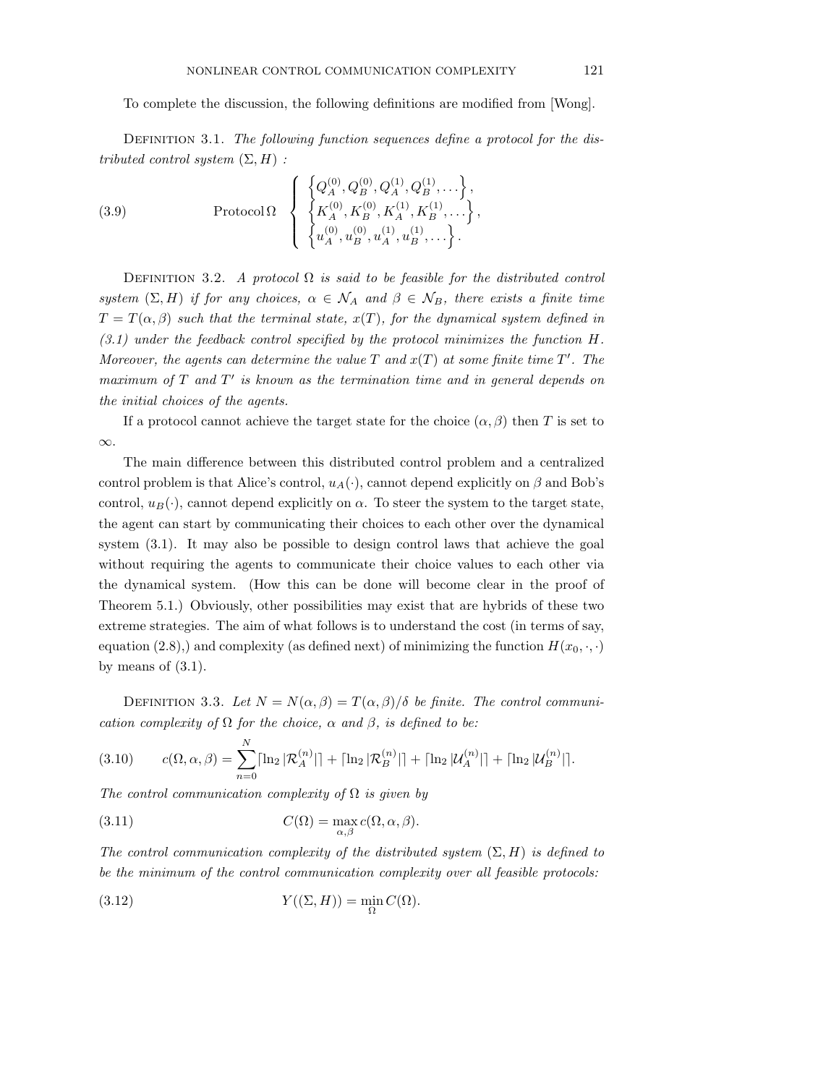To complete the discussion, the following definitions are modified from [Wong].

DEFINITION 3.1. The following function sequences define a protocol for the distributed control system  $(\Sigma, H)$ :

(3.9) 
$$
\text{Protocol } \Omega \left\{ \begin{matrix} \left\{ Q_A^{(0)}, Q_B^{(0)}, Q_A^{(1)}, Q_B^{(1)}, \dots \right\}, \\ \left\{ K_A^{(0)}, K_B^{(0)}, K_A^{(1)}, K_B^{(1)}, \dots \right\}, \\ \left\{ u_A^{(0)}, u_B^{(0)}, u_A^{(1)}, u_B^{(1)}, \dots \right\}. \end{matrix} \right\}
$$

DEFINITION 3.2. A protocol  $\Omega$  is said to be feasible for the distributed control system  $(\Sigma, H)$  if for any choices,  $\alpha \in \mathcal{N}_A$  and  $\beta \in \mathcal{N}_B$ , there exists a finite time  $T = T(\alpha, \beta)$  such that the terminal state,  $x(T)$ , for the dynamical system defined in  $(3.1)$  under the feedback control specified by the protocol minimizes the function H. Moreover, the agents can determine the value  $T$  and  $x(T)$  at some finite time  $T'$ . The maximum of  $T$  and  $T'$  is known as the termination time and in general depends on the initial choices of the agents.

If a protocol cannot achieve the target state for the choice  $(\alpha, \beta)$  then T is set to ∞.

The main difference between this distributed control problem and a centralized control problem is that Alice's control,  $u_A(\cdot)$ , cannot depend explicitly on  $\beta$  and Bob's control,  $u_B(\cdot)$ , cannot depend explicitly on  $\alpha$ . To steer the system to the target state, the agent can start by communicating their choices to each other over the dynamical system (3.1). It may also be possible to design control laws that achieve the goal without requiring the agents to communicate their choice values to each other via the dynamical system. (How this can be done will become clear in the proof of Theorem 5.1.) Obviously, other possibilities may exist that are hybrids of these two extreme strategies. The aim of what follows is to understand the cost (in terms of say, equation (2.8),) and complexity (as defined next) of minimizing the function  $H(x_0, \cdot, \cdot)$ by means of  $(3.1)$ .

DEFINITION 3.3. Let  $N = N(\alpha, \beta) = T(\alpha, \beta)/\delta$  be finite. The control communication complexity of  $\Omega$  for the choice,  $\alpha$  and  $\beta$ , is defined to be:

$$
(3.10) \t c(\Omega, \alpha, \beta) = \sum_{n=0}^{N} \lceil \ln_2 |\mathcal{R}_A^{(n)}| \rceil + \lceil \ln_2 |\mathcal{R}_B^{(n)}| \rceil + \lceil \ln_2 |\mathcal{U}_A^{(n)}| \rceil + \lceil \ln_2 |\mathcal{U}_B^{(n)}| \rceil.
$$

The control communication complexity of  $\Omega$  is given by

(3.11) 
$$
C(\Omega) = \max_{\alpha,\beta} c(\Omega,\alpha,\beta).
$$

The control communication complexity of the distributed system  $(\Sigma, H)$  is defined to be the minimum of the control communication complexity over all feasible protocols:

(3.12) 
$$
Y((\Sigma, H)) = \min_{\Omega} C(\Omega).
$$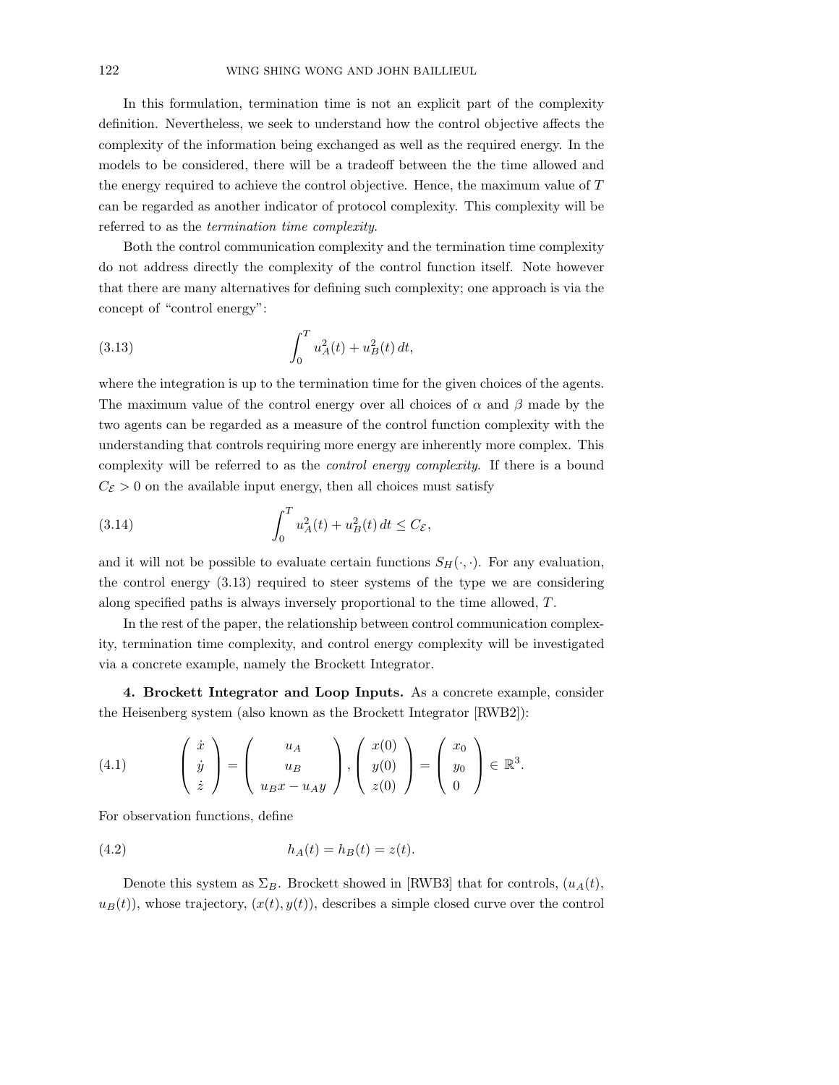In this formulation, termination time is not an explicit part of the complexity definition. Nevertheless, we seek to understand how the control objective affects the complexity of the information being exchanged as well as the required energy. In the models to be considered, there will be a tradeoff between the the time allowed and the energy required to achieve the control objective. Hence, the maximum value of T can be regarded as another indicator of protocol complexity. This complexity will be referred to as the termination time complexity.

Both the control communication complexity and the termination time complexity do not address directly the complexity of the control function itself. Note however that there are many alternatives for defining such complexity; one approach is via the concept of "control energy":

(3.13) 
$$
\int_0^T u_A^2(t) + u_B^2(t) dt,
$$

where the integration is up to the termination time for the given choices of the agents. The maximum value of the control energy over all choices of  $\alpha$  and  $\beta$  made by the two agents can be regarded as a measure of the control function complexity with the understanding that controls requiring more energy are inherently more complex. This complexity will be referred to as the control energy complexity. If there is a bound  $C_{\mathcal{E}} > 0$  on the available input energy, then all choices must satisfy

(3.14) 
$$
\int_0^T u_A^2(t) + u_B^2(t) dt \le C_{\mathcal{E}},
$$

and it will not be possible to evaluate certain functions  $S_H(\cdot, \cdot)$ . For any evaluation, the control energy (3.13) required to steer systems of the type we are considering along specified paths is always inversely proportional to the time allowed, T .

In the rest of the paper, the relationship between control communication complexity, termination time complexity, and control energy complexity will be investigated via a concrete example, namely the Brockett Integrator.

4. Brockett Integrator and Loop Inputs. As a concrete example, consider the Heisenberg system (also known as the Brockett Integrator [RWB2]):

(4.1) 
$$
\begin{pmatrix} \dot{x} \\ \dot{y} \\ \dot{z} \end{pmatrix} = \begin{pmatrix} u_A \\ u_B \\ u_B x - u_A y \end{pmatrix}, \begin{pmatrix} x(0) \\ y(0) \\ z(0) \end{pmatrix} = \begin{pmatrix} x_0 \\ y_0 \\ 0 \end{pmatrix} \in \mathbb{R}^3.
$$

For observation functions, define

(4.2) 
$$
h_A(t) = h_B(t) = z(t).
$$

Denote this system as  $\Sigma_B$ . Brockett showed in [RWB3] that for controls,  $(u_A(t),$  $u_B(t)$ , whose trajectory,  $(x(t), y(t))$ , describes a simple closed curve over the control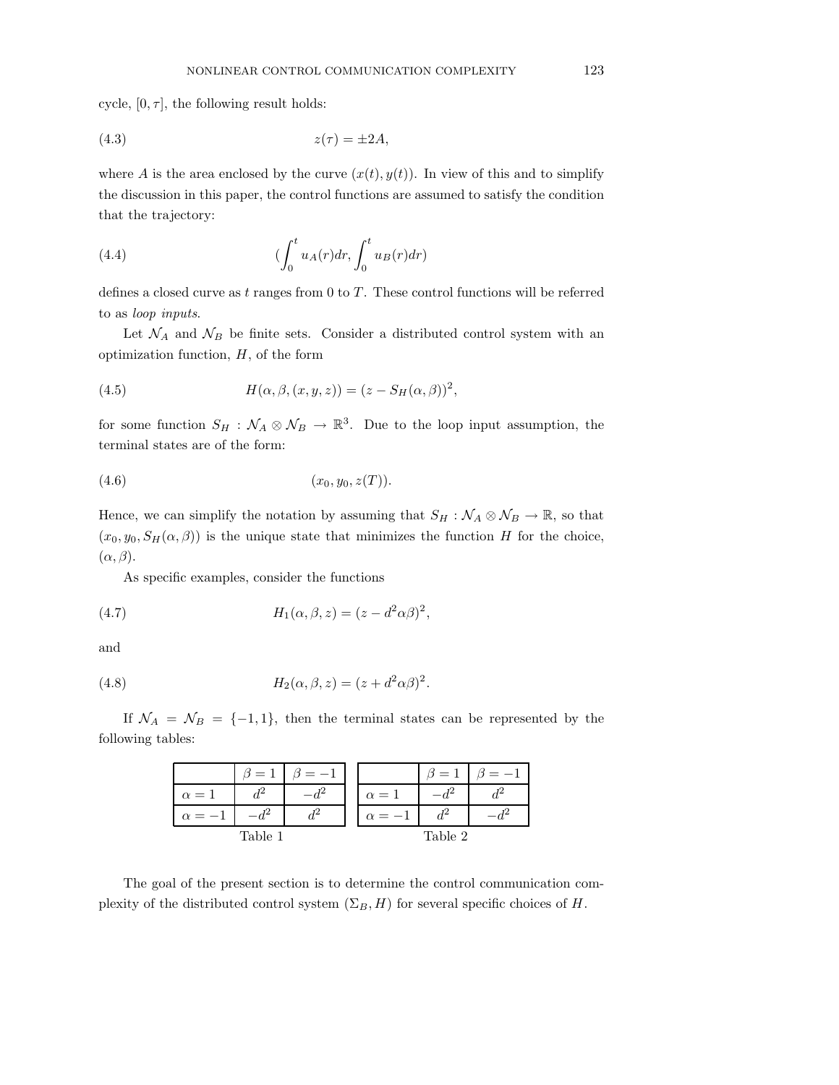cycle,  $[0, \tau]$ , the following result holds:

$$
(4.3) \t\t\t z(\tau) = \pm 2A,
$$

where A is the area enclosed by the curve  $(x(t), y(t))$ . In view of this and to simplify the discussion in this paper, the control functions are assumed to satisfy the condition that the trajectory:

(4.4) 
$$
\left(\int_0^t u_A(r)dr, \int_0^t u_B(r)dr\right)
$$

defines a closed curve as  $t$  ranges from 0 to  $T$ . These control functions will be referred to as loop inputs.

Let  $\mathcal{N}_A$  and  $\mathcal{N}_B$  be finite sets. Consider a distributed control system with an optimization function,  $H$ , of the form

(4.5) 
$$
H(\alpha, \beta, (x, y, z)) = (z - S_H(\alpha, \beta))^2,
$$

for some function  $S_H$ :  $\mathcal{N}_A \otimes \mathcal{N}_B \to \mathbb{R}^3$ . Due to the loop input assumption, the terminal states are of the form:

$$
(4.6) \t\t (x_0, y_0, z(T)).
$$

Hence, we can simplify the notation by assuming that  $S_H : \mathcal{N}_A \otimes \mathcal{N}_B \to \mathbb{R}$ , so that  $(x_0, y_0, S_H(\alpha, \beta))$  is the unique state that minimizes the function H for the choice,  $(\alpha, \beta).$ 

As specific examples, consider the functions

(4.7) 
$$
H_1(\alpha, \beta, z) = (z - d^2 \alpha \beta)^2,
$$

and

(4.8) 
$$
H_2(\alpha, \beta, z) = (z + d^2 \alpha \beta)^2.
$$

If  $\mathcal{N}_A = \mathcal{N}_B = \{-1, 1\}$ , then the terminal states can be represented by the following tables:

|            | $=$     |  |            | 9<br>$\overline{\phantom{m}}$ |  |
|------------|---------|--|------------|-------------------------------|--|
| $\alpha=1$ | $d^2$   |  | $\alpha=1$ |                               |  |
| $\alpha =$ |         |  | $\alpha =$ |                               |  |
|            | Table 1 |  |            | Table 2                       |  |

The goal of the present section is to determine the control communication complexity of the distributed control system  $(\Sigma_B, H)$  for several specific choices of H.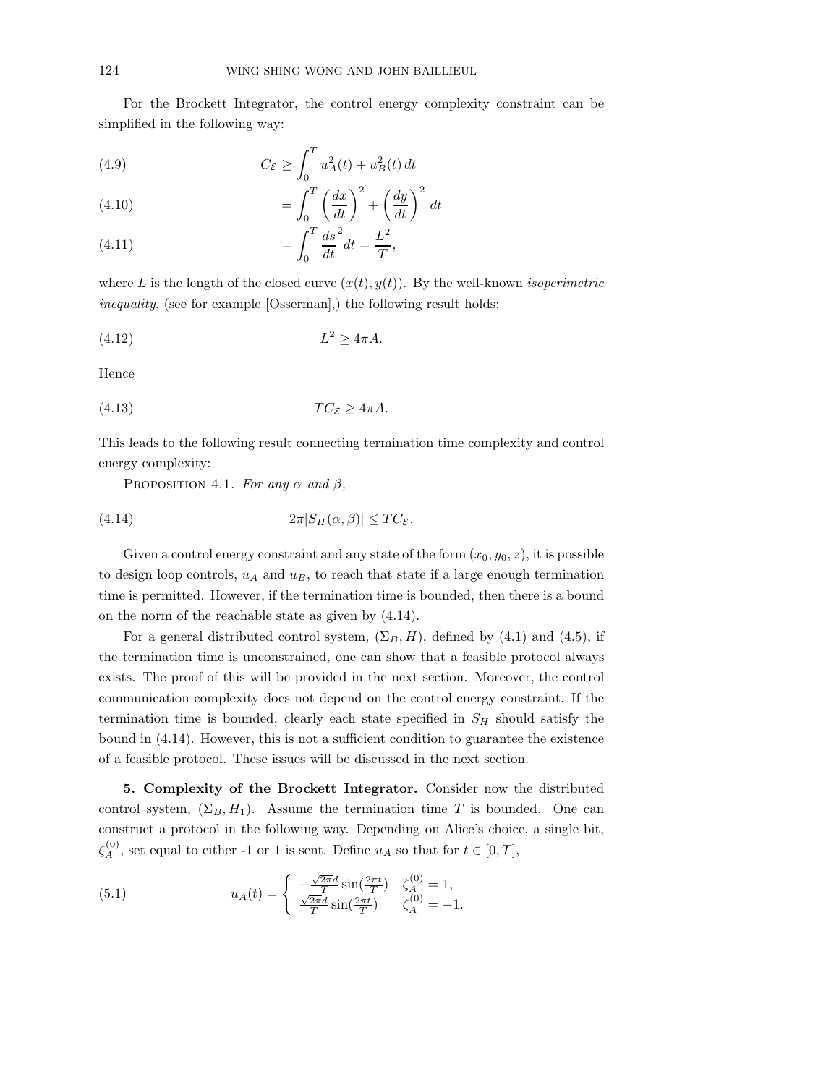For the Brockett Integrator, the control energy complexity constraint can be simplified in the following way:

(4.9) 
$$
C_{\mathcal{E}} \ge \int_0^T u_A^2(t) + u_B^2(t) dt
$$

(4.10) 
$$
= \int_0^T \left(\frac{dx}{dt}\right)^2 + \left(\frac{dy}{dt}\right)^2 dt
$$

(4.11) 
$$
= \int_0^T \frac{ds^2}{dt} dt = \frac{L^2}{T},
$$

where L is the length of the closed curve  $(x(t), y(t))$ . By the well-known *isoperimetric* inequality, (see for example [Osserman],) the following result holds:

$$
(4.12) \t\t\t L^2 \ge 4\pi A.
$$

Hence

$$
(4.13) \tTC_{\mathcal{E}} \ge 4\pi A.
$$

This leads to the following result connecting termination time complexity and control energy complexity:

PROPOSITION 4.1. For any  $\alpha$  and  $\beta$ ,

(4.14) 
$$
2\pi|S_H(\alpha,\beta)| \leq TC_{\mathcal{E}}.
$$

Given a control energy constraint and any state of the form  $(x_0, y_0, z)$ , it is possible to design loop controls,  $u_A$  and  $u_B$ , to reach that state if a large enough termination time is permitted. However, if the termination time is bounded, then there is a bound on the norm of the reachable state as given by (4.14).

For a general distributed control system,  $(\Sigma_B, H)$ , defined by (4.1) and (4.5), if the termination time is unconstrained, one can show that a feasible protocol always exists. The proof of this will be provided in the next section. Moreover, the control communication complexity does not depend on the control energy constraint. If the termination time is bounded, clearly each state specified in  $S_H$  should satisfy the bound in (4.14). However, this is not a sufficient condition to guarantee the existence of a feasible protocol. These issues will be discussed in the next section.

5. Complexity of the Brockett Integrator. Consider now the distributed control system,  $(\Sigma_B, H_1)$ . Assume the termination time T is bounded. One can construct a protocol in the following way. Depending on Alice's choice, a single bit,  $\zeta_A^{(0)}$  $A_A^{(0)}$ , set equal to either -1 or 1 is sent. Define  $u_A$  so that for  $t \in [0, T]$ ,

(5.1) 
$$
u_A(t) = \begin{cases} -\frac{\sqrt{2\pi}d}{T} \sin(\frac{2\pi t}{T}) & \zeta_A^{(0)} = 1, \\ \frac{\sqrt{2\pi}d}{T} \sin(\frac{2\pi t}{T}) & \zeta_A^{(0)} = -1. \end{cases}
$$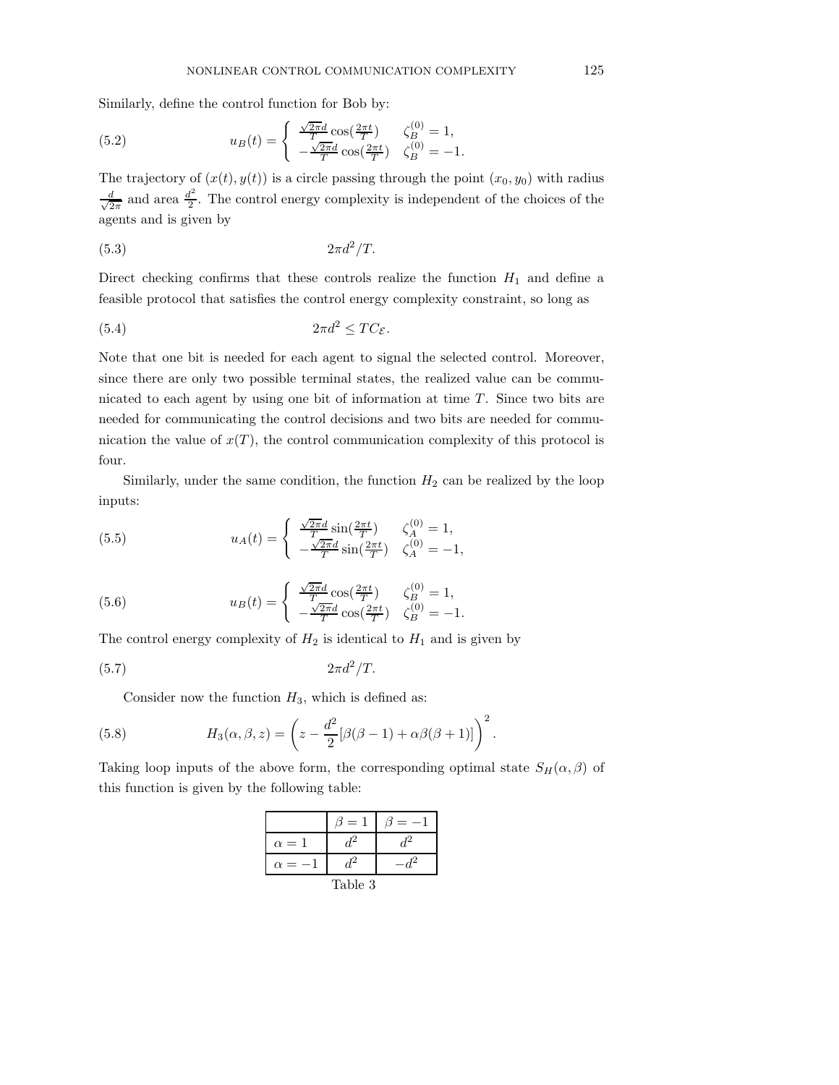Similarly, define the control function for Bob by:

(5.2) 
$$
u_B(t) = \begin{cases} \frac{\sqrt{2\pi}d}{T}\cos(\frac{2\pi t}{T}) & \zeta_B^{(0)} = 1, \\ -\frac{\sqrt{2\pi}d}{T}\cos(\frac{2\pi t}{T}) & \zeta_B^{(0)} = -1. \end{cases}
$$

The trajectory of  $(x(t), y(t))$  is a circle passing through the point  $(x_0, y_0)$  with radius √ d  $rac{d}{2\pi}$  and area  $rac{d^2}{2}$  $\frac{d^2}{2}$ . The control energy complexity is independent of the choices of the agents and is given by

$$
(5.3) \t\t 2\pi d^2/T.
$$

Direct checking confirms that these controls realize the function  $H_1$  and define a feasible protocol that satisfies the control energy complexity constraint, so long as

$$
(5.4) \t 2\pi d^2 \le TC_{\mathcal{E}}.
$$

Note that one bit is needed for each agent to signal the selected control. Moreover, since there are only two possible terminal states, the realized value can be communicated to each agent by using one bit of information at time  $T$ . Since two bits are needed for communicating the control decisions and two bits are needed for communication the value of  $x(T)$ , the control communication complexity of this protocol is four.

Similarly, under the same condition, the function  $H_2$  can be realized by the loop inputs:

(5.5) 
$$
u_A(t) = \begin{cases} \frac{\sqrt{2\pi}d}{T} \sin(\frac{2\pi t}{T}) & \zeta_A^{(0)} = 1, \\ -\frac{\sqrt{2\pi}d}{T} \sin(\frac{2\pi t}{T}) & \zeta_A^{(0)} = -1, \end{cases}
$$

(5.6) 
$$
u_B(t) = \begin{cases} \frac{\sqrt{2\pi}d}{T}\cos(\frac{2\pi t}{T}) & \zeta_B^{(0)} = 1, \\ -\frac{\sqrt{2\pi}d}{T}\cos(\frac{2\pi t}{T}) & \zeta_B^{(0)} = -1. \end{cases}
$$

The control energy complexity of  $H_2$  is identical to  $H_1$  and is given by

$$
(5.7) \t\t 2\pi d^2/T.
$$

Consider now the function  $H_3$ , which is defined as:

(5.8) 
$$
H_3(\alpha, \beta, z) = \left(z - \frac{d^2}{2} [\beta(\beta - 1) + \alpha \beta(\beta + 1)]\right)^2.
$$

Taking loop inputs of the above form, the corresponding optimal state  $S_H(\alpha, \beta)$  of this function is given by the following table:

|                   | $\overline{\phantom{0}}$ |  |
|-------------------|--------------------------|--|
| $= 1$<br>$\alpha$ |                          |  |
| a                 |                          |  |
| Table 3           |                          |  |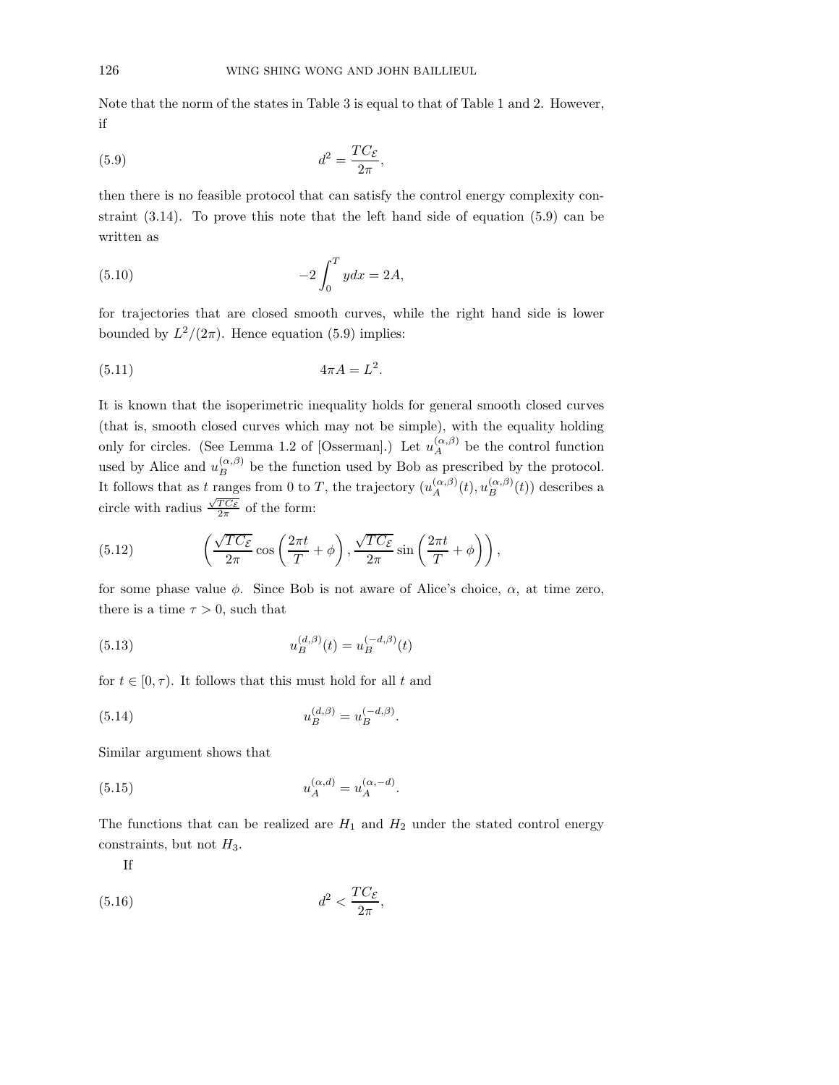Note that the norm of the states in Table 3 is equal to that of Table 1 and 2. However, if

,

$$
(5.9) \t\t d^2 = \frac{TC_{\mathcal{E}}}{2\pi}
$$

then there is no feasible protocol that can satisfy the control energy complexity constraint (3.14). To prove this note that the left hand side of equation (5.9) can be written as

(5.10) 
$$
-2\int_0^T ydx = 2A,
$$

for trajectories that are closed smooth curves, while the right hand side is lower bounded by  $L^2/(2\pi)$ . Hence equation (5.9) implies:

$$
(5.11) \t\t 4\pi A = L^2.
$$

It is known that the isoperimetric inequality holds for general smooth closed curves (that is, smooth closed curves which may not be simple), with the equality holding only for circles. (See Lemma 1.2 of [Osserman].) Let  $u_A^{(\alpha,\beta)}$  $A^{(\alpha,\beta)}$  be the control function used by Alice and  $u_B^{(\alpha,\beta)}$  be the function used by Bob as prescribed by the protocol. It follows that as t ranges from 0 to T, the trajectory  $(u_A^{(\alpha,\beta)}$ ranges from 0 to T, the trajectory  $(u_A^{(\alpha,\beta)}(t), u_B^{(\alpha,\beta)}(t))$  describes a circle with radius  $\frac{\sqrt{TC_{\mathcal{E}}}}{2\pi}$  of the form:

(5.12) 
$$
\left(\frac{\sqrt{TC_{\mathcal{E}}}}{2\pi}\cos\left(\frac{2\pi t}{T}+\phi\right),\frac{\sqrt{TC_{\mathcal{E}}}}{2\pi}\sin\left(\frac{2\pi t}{T}+\phi\right)\right),\right.
$$

for some phase value  $\phi$ . Since Bob is not aware of Alice's choice,  $\alpha$ , at time zero, there is a time  $\tau > 0$ , such that

(5.13) 
$$
u_B^{(d,\beta)}(t) = u_B^{(-d,\beta)}(t)
$$

for  $t \in [0, \tau)$ . It follows that this must hold for all t and

(5.14) 
$$
u_B^{(d,\beta)} = u_B^{(-d,\beta)}.
$$

Similar argument shows that

(5.15) 
$$
u_A^{(\alpha,d)} = u_A^{(\alpha,-d)}.
$$

The functions that can be realized are  $H_1$  and  $H_2$  under the stated control energy constraints, but not  $H_3$ .

,

If

$$
(5.16)\t\t d^2 < \frac{TC_{\mathcal{E}}}{2\pi}
$$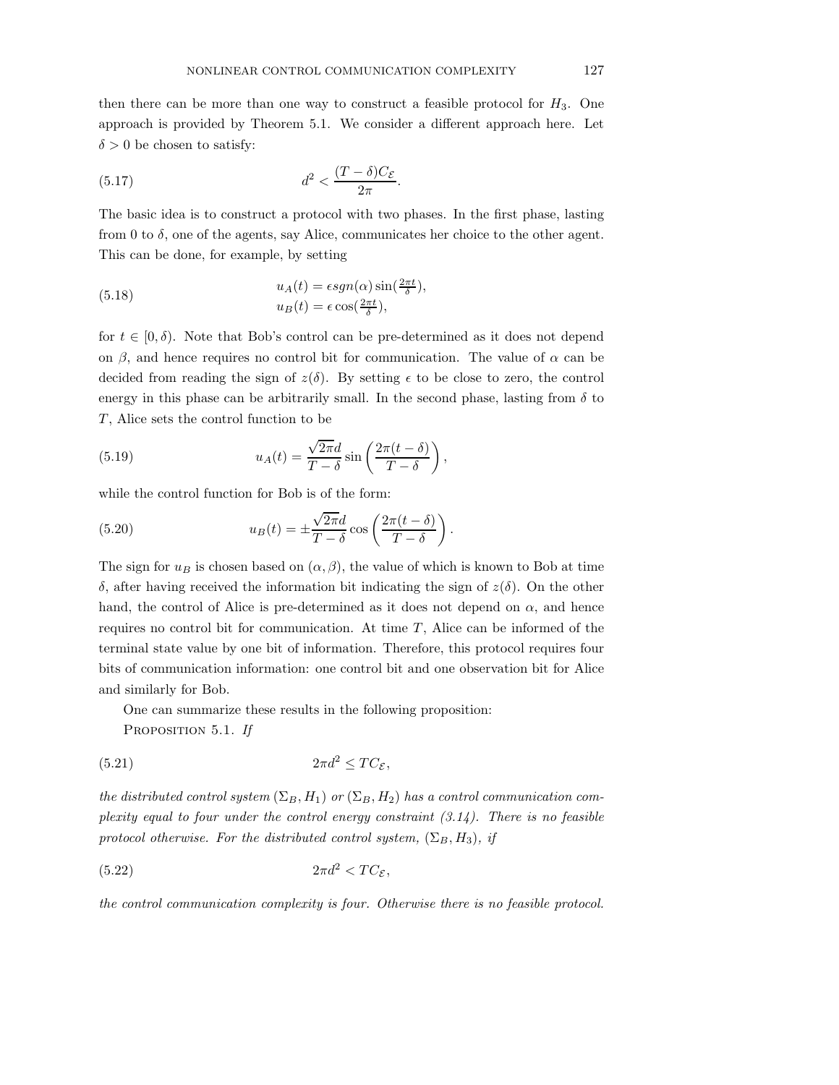then there can be more than one way to construct a feasible protocol for  $H_3$ . One approach is provided by Theorem 5.1. We consider a different approach here. Let  $\delta > 0$  be chosen to satisfy:

(5.17) 
$$
d^2 < \frac{(T-\delta)C_{\mathcal{E}}}{2\pi}.
$$

The basic idea is to construct a protocol with two phases. In the first phase, lasting from 0 to  $\delta$ , one of the agents, say Alice, communicates her choice to the other agent. This can be done, for example, by setting

(5.18) 
$$
u_A(t) = \epsilon sgn(\alpha) \sin(\frac{2\pi t}{\delta}),
$$

$$
u_B(t) = \epsilon \cos(\frac{2\pi t}{\delta}),
$$

for  $t \in [0, \delta)$ . Note that Bob's control can be pre-determined as it does not depend on  $\beta$ , and hence requires no control bit for communication. The value of  $\alpha$  can be decided from reading the sign of  $z(\delta)$ . By setting  $\epsilon$  to be close to zero, the control energy in this phase can be arbitrarily small. In the second phase, lasting from  $\delta$  to  $T$ , Alice sets the control function to be

(5.19) 
$$
u_A(t) = \frac{\sqrt{2\pi}d}{T-\delta} \sin\left(\frac{2\pi(t-\delta)}{T-\delta}\right),
$$

while the control function for Bob is of the form:

(5.20) 
$$
u_B(t) = \pm \frac{\sqrt{2\pi}d}{T-\delta} \cos\left(\frac{2\pi(t-\delta)}{T-\delta}\right).
$$

The sign for  $u_B$  is chosen based on  $(\alpha, \beta)$ , the value of which is known to Bob at time δ, after having received the information bit indicating the sign of z(δ). On the other hand, the control of Alice is pre-determined as it does not depend on  $\alpha$ , and hence requires no control bit for communication. At time  $T$ , Alice can be informed of the terminal state value by one bit of information. Therefore, this protocol requires four bits of communication information: one control bit and one observation bit for Alice and similarly for Bob.

One can summarize these results in the following proposition:

PROPOSITION 5.1. If

$$
(5.21) \t\t 2\pi d^2 \le TC_{\mathcal{E}},
$$

the distributed control system  $(\Sigma_B, H_1)$  or  $(\Sigma_B, H_2)$  has a control communication complexity equal to four under the control energy constraint  $(3.14)$ . There is no feasible protocol otherwise. For the distributed control system,  $(\Sigma_B, H_3)$ , if

$$
(5.22)\t\t\t 2\pi d^2 < TC_{\mathcal{E}},
$$

the control communication complexity is four. Otherwise there is no feasible protocol.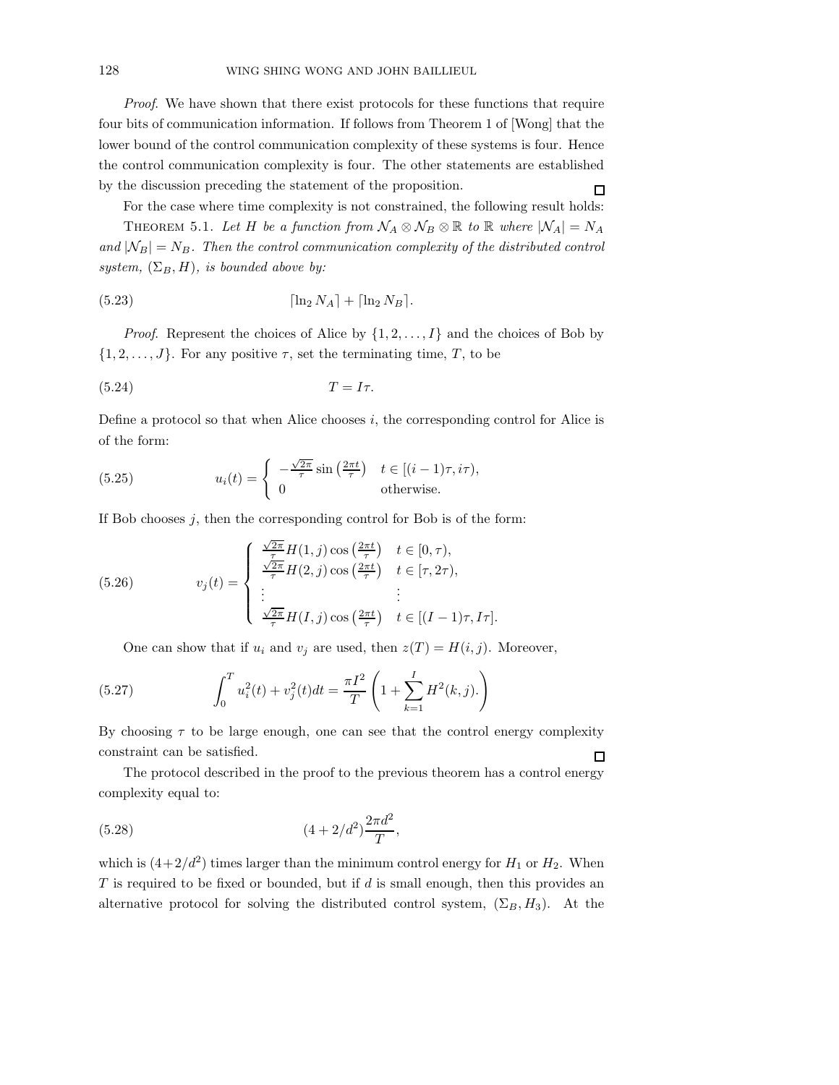Proof. We have shown that there exist protocols for these functions that require four bits of communication information. If follows from Theorem 1 of [Wong] that the lower bound of the control communication complexity of these systems is four. Hence the control communication complexity is four. The other statements are established by the discussion preceding the statement of the proposition.  $\Box$ 

For the case where time complexity is not constrained, the following result holds:

THEOREM 5.1. Let H be a function from  $\mathcal{N}_A \otimes \mathcal{N}_B \otimes \mathbb{R}$  to  $\mathbb{R}$  where  $|\mathcal{N}_A| = N_A$ and  $|N_B| = N_B$ . Then the control communication complexity of the distributed control system,  $(\Sigma_B, H)$ , is bounded above by:

$$
(5.23) \t\t [ln2 NA] + [ln2 NB].
$$

*Proof.* Represent the choices of Alice by  $\{1, 2, \ldots, I\}$  and the choices of Bob by  $\{1, 2, \ldots, J\}$ . For any positive  $\tau$ , set the terminating time, T, to be

$$
(5.24) \t\t T = I\tau.
$$

Define a protocol so that when Alice chooses  $i$ , the corresponding control for Alice is of the form:

(5.25) 
$$
u_i(t) = \begin{cases} -\frac{\sqrt{2\pi}}{\tau} \sin\left(\frac{2\pi t}{\tau}\right) & t \in [(i-1)\tau, i\tau), \\ 0 & \text{otherwise.} \end{cases}
$$

If Bob chooses  $j$ , then the corresponding control for Bob is of the form:

(5.26) 
$$
v_j(t) = \begin{cases} \frac{\sqrt{2\pi}}{\tau} H(1,j) \cos\left(\frac{2\pi t}{\tau}\right) & t \in [0,\tau), \\ \frac{\sqrt{2\pi}}{\tau} H(2,j) \cos\left(\frac{2\pi t}{\tau}\right) & t \in [\tau, 2\tau), \\ \vdots & \vdots \\ \frac{\sqrt{2\pi}}{\tau} H(I,j) \cos\left(\frac{2\pi t}{\tau}\right) & t \in [(I-1)\tau, I\tau]. \end{cases}
$$

One can show that if  $u_i$  and  $v_j$  are used, then  $z(T) = H(i, j)$ . Moreover,

(5.27) 
$$
\int_0^T u_i^2(t) + v_j^2(t)dt = \frac{\pi I^2}{T} \left( 1 + \sum_{k=1}^I H^2(k,j). \right)
$$

By choosing  $\tau$  to be large enough, one can see that the control energy complexity constraint can be satisfied.  $\Box$ 

The protocol described in the proof to the previous theorem has a control energy complexity equal to:

(5.28) 
$$
(4+2/d^2)\frac{2\pi d^2}{T},
$$

which is  $(4+2/d^2)$  times larger than the minimum control energy for  $H_1$  or  $H_2$ . When  $T$  is required to be fixed or bounded, but if  $d$  is small enough, then this provides an alternative protocol for solving the distributed control system,  $(\Sigma_B, H_3)$ . At the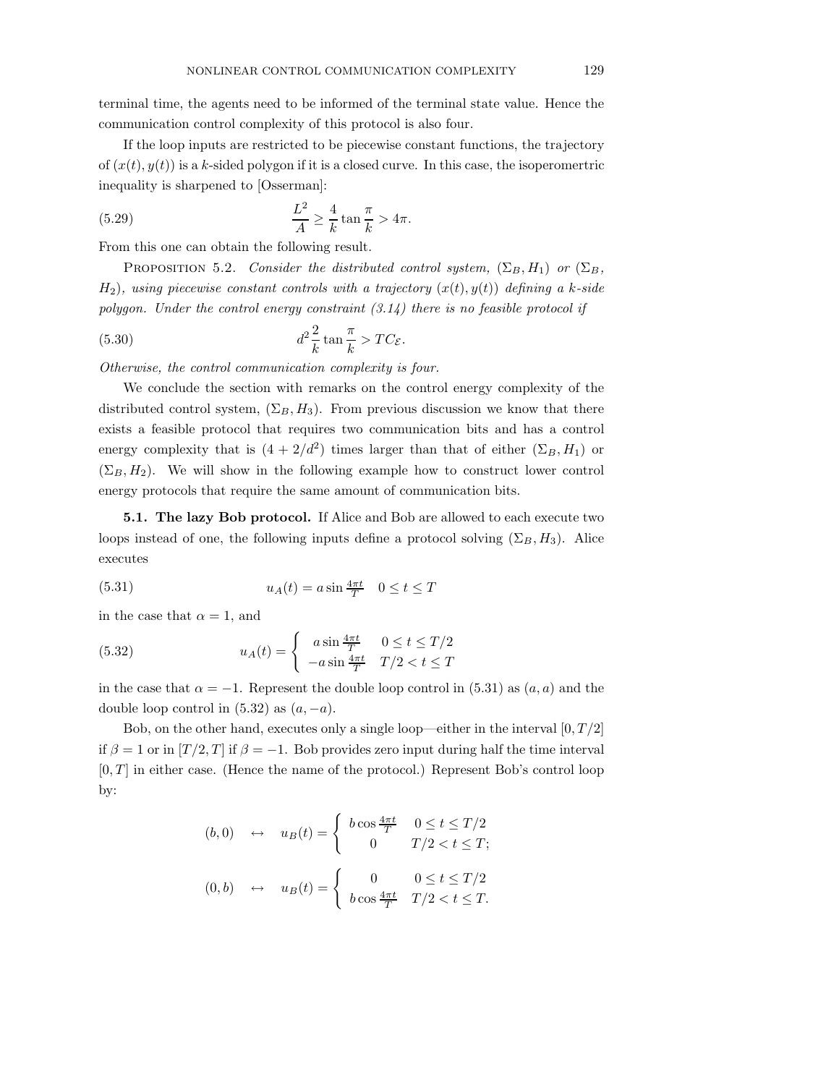terminal time, the agents need to be informed of the terminal state value. Hence the communication control complexity of this protocol is also four.

If the loop inputs are restricted to be piecewise constant functions, the trajectory of  $(x(t), y(t))$  is a k-sided polygon if it is a closed curve. In this case, the isoperometric inequality is sharpened to [Osserman]:

(5.29) 
$$
\frac{L^2}{A} \ge \frac{4}{k} \tan \frac{\pi}{k} > 4\pi.
$$

From this one can obtain the following result.

PROPOSITION 5.2. Consider the distributed control system,  $(\Sigma_B, H_1)$  or  $(\Sigma_B,$  $H_2$ , using piecewise constant controls with a trajectory  $(x(t), y(t))$  defining a k-side polygon. Under the control energy constraint  $(3.14)$  there is no feasible protocol if

(5.30) 
$$
d^2 \frac{2}{k} \tan \frac{\pi}{k} > TC_{\mathcal{E}}.
$$

Otherwise, the control communication complexity is four.

We conclude the section with remarks on the control energy complexity of the distributed control system,  $(\Sigma_B, H_3)$ . From previous discussion we know that there exists a feasible protocol that requires two communication bits and has a control energy complexity that is  $(4 + 2/d^2)$  times larger than that of either  $(\Sigma_B, H_1)$  or  $(\Sigma_B, H_2)$ . We will show in the following example how to construct lower control energy protocols that require the same amount of communication bits.

5.1. The lazy Bob protocol. If Alice and Bob are allowed to each execute two loops instead of one, the following inputs define a protocol solving  $(\Sigma_B, H_3)$ . Alice executes

(5.31) 
$$
u_A(t) = a \sin \frac{4\pi t}{T} \quad 0 \le t \le T
$$

in the case that  $\alpha = 1$ , and

(5.32) 
$$
u_A(t) = \begin{cases} a \sin \frac{4\pi t}{T} & 0 \le t \le T/2\\ -a \sin \frac{4\pi t}{T} & T/2 < t \le T \end{cases}
$$

in the case that  $\alpha = -1$ . Represent the double loop control in (5.31) as  $(a, a)$  and the double loop control in  $(5.32)$  as  $(a, -a)$ .

Bob, on the other hand, executes only a single loop—either in the interval  $[0, T/2]$ if  $\beta = 1$  or in  $[T/2, T]$  if  $\beta = -1$ . Bob provides zero input during half the time interval  $[0, T]$  in either case. (Hence the name of the protocol.) Represent Bob's control loop by:

$$
(b,0) \leftrightarrow u_B(t) = \begin{cases} b\cos\frac{4\pi t}{T} & 0 \le t \le T/2\\ 0 & T/2 < t \le T; \end{cases}
$$

$$
(0,b) \leftrightarrow u_B(t) = \begin{cases} 0 & 0 \le t \le T/2\\ b\cos\frac{4\pi t}{T} & T/2 < t \le T. \end{cases}
$$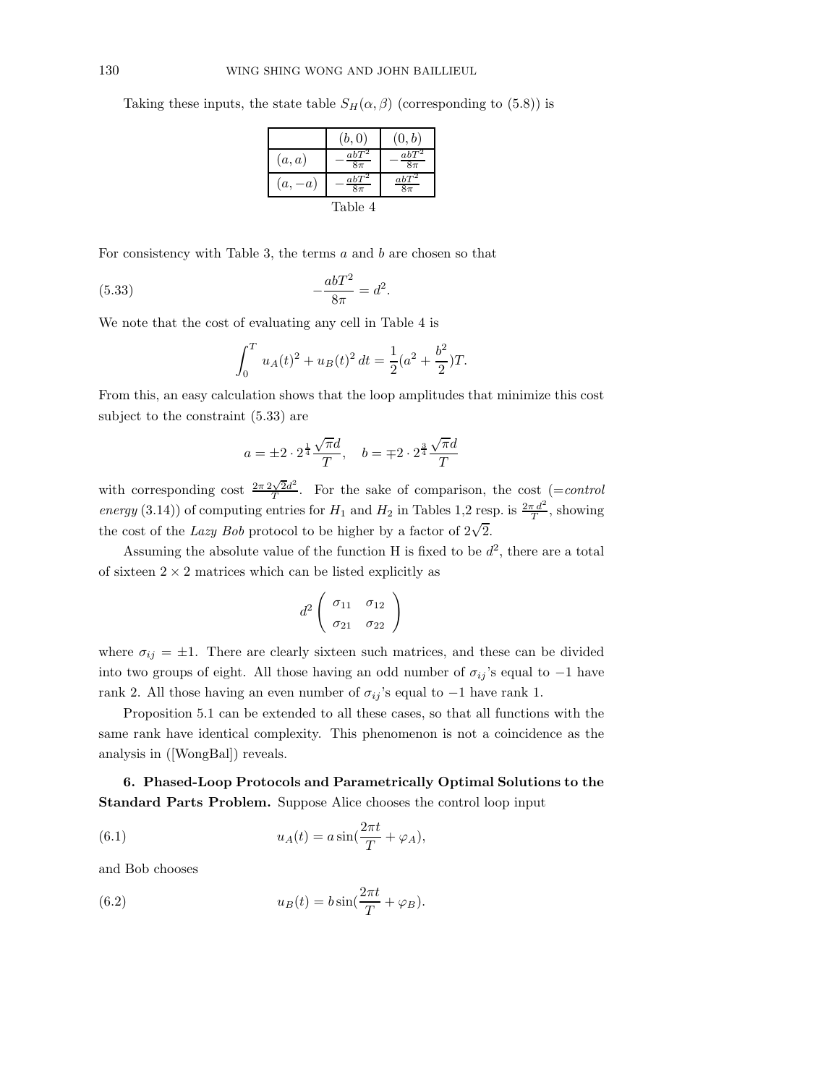Taking these inputs, the state table  $S_H(\alpha, \beta)$  (corresponding to (5.8)) is

|          | (b, 0)            | (0,b)             |
|----------|-------------------|-------------------|
| (a,a)    | $abT^2$<br>$8\pi$ | $abT^2$<br>$8\pi$ |
| $(a,-a)$ | $abT^2$<br>$8\pi$ | $abT^2$<br>$8\pi$ |
| Table 4  |                   |                   |

For consistency with Table 3, the terms  $a$  and  $b$  are chosen so that

(5.33) 
$$
-\frac{abT^2}{8\pi} = d^2.
$$

We note that the cost of evaluating any cell in Table 4 is

$$
\int_0^T u_A(t)^2 + u_B(t)^2 dt = \frac{1}{2}(a^2 + \frac{b^2}{2})T.
$$

From this, an easy calculation shows that the loop amplitudes that minimize this cost subject to the constraint (5.33) are

$$
a = \pm 2 \cdot 2^{\frac{1}{4}} \frac{\sqrt{\pi}d}{T}, \quad b = \mp 2 \cdot 2^{\frac{3}{4}} \frac{\sqrt{\pi}d}{T}
$$

with corresponding cost  $\frac{2\pi 2\sqrt{2}d^2}{T}$  $\frac{\sqrt{2d}}{T}$ . For the sake of comparison, the cost (=control energy (3.14)) of computing entries for  $H_1$  and  $H_2$  in Tables 1,2 resp. is  $\frac{2\pi d^2}{T}$ , showing the cost of the *Lazy Bob* protocol to be higher by a factor of  $2\sqrt{2}$ .

Assuming the absolute value of the function H is fixed to be  $d^2$ , there are a total of sixteen  $2 \times 2$  matrices which can be listed explicitly as

$$
d^2 \left( \begin{array}{cc} \sigma_{11} & \sigma_{12} \\ \sigma_{21} & \sigma_{22} \end{array} \right)
$$

where  $\sigma_{ij} = \pm 1$ . There are clearly sixteen such matrices, and these can be divided into two groups of eight. All those having an odd number of  $\sigma_{ij}$ 's equal to −1 have rank 2. All those having an even number of  $\sigma_{ij}$ 's equal to −1 have rank 1.

Proposition 5.1 can be extended to all these cases, so that all functions with the same rank have identical complexity. This phenomenon is not a coincidence as the analysis in ([WongBal]) reveals.

6. Phased-Loop Protocols and Parametrically Optimal Solutions to the Standard Parts Problem. Suppose Alice chooses the control loop input

(6.1) 
$$
u_A(t) = a \sin(\frac{2\pi t}{T} + \varphi_A),
$$

and Bob chooses

(6.2) 
$$
u_B(t) = b \sin(\frac{2\pi t}{T} + \varphi_B).
$$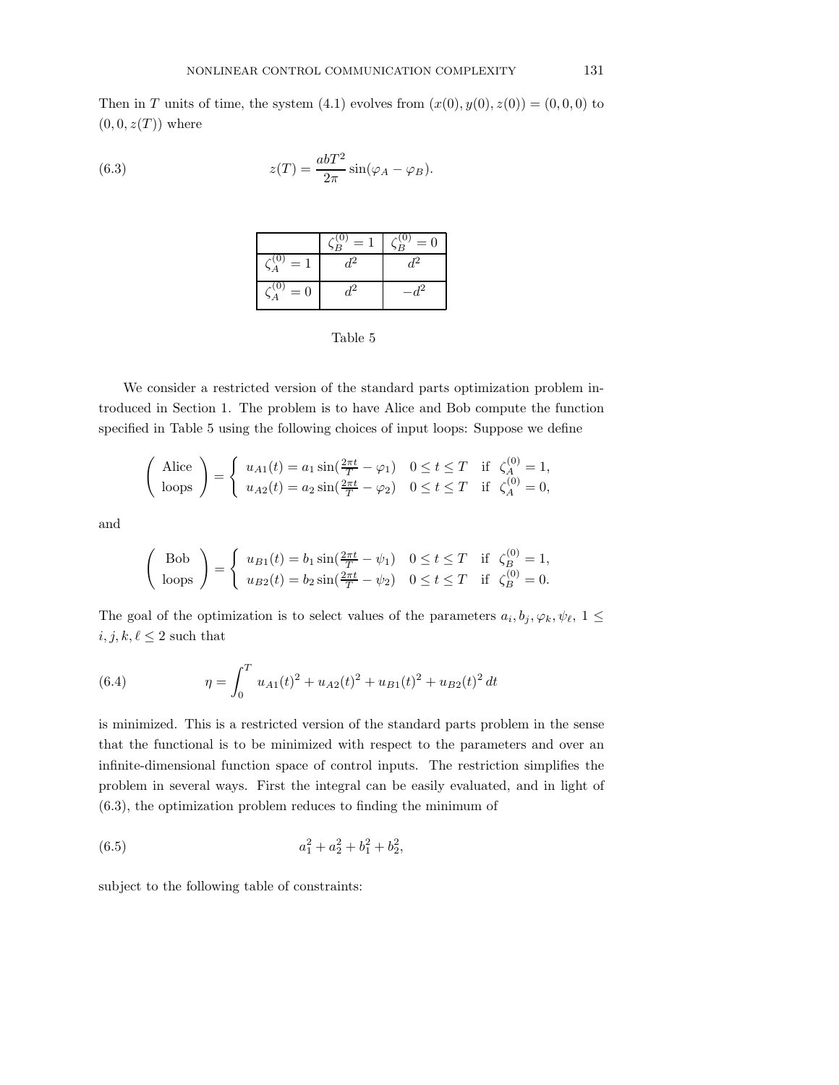Then in T units of time, the system  $(4.1)$  evolves from  $(x(0), y(0), z(0)) = (0, 0, 0)$  to  $(0, 0, z(T))$  where

(6.3) 
$$
z(T) = \frac{abT^2}{2\pi} \sin(\varphi_A - \varphi_B).
$$

|                              | $=1$ | $\zeta_B^{(0)}=0$ |
|------------------------------|------|-------------------|
| $S_A^{(0)}$<br>$=1$          |      |                   |
| $\mathcal{A}^{(0)}$<br>$= 0$ |      |                   |

| Table |  |
|-------|--|
|-------|--|

We consider a restricted version of the standard parts optimization problem introduced in Section 1. The problem is to have Alice and Bob compute the function specified in Table 5 using the following choices of input loops: Suppose we define

$$
\begin{pmatrix} \text{Alice} \\ \text{loops} \end{pmatrix} = \begin{cases} u_{A1}(t) = a_1 \sin(\frac{2\pi t}{T} - \varphi_1) & 0 \le t \le T & \text{if } \zeta_A^{(0)} = 1, \\ u_{A2}(t) = a_2 \sin(\frac{2\pi t}{T} - \varphi_2) & 0 \le t \le T & \text{if } \zeta_A^{(0)} = 0, \end{cases}
$$

and

$$
\begin{pmatrix} Bob \\ loops \end{pmatrix} = \begin{cases} u_{B1}(t) = b_1 \sin(\frac{2\pi t}{T} - \psi_1) & 0 \le t \le T & \text{if } \zeta_B^{(0)} = 1, \\ u_{B2}(t) = b_2 \sin(\frac{2\pi t}{T} - \psi_2) & 0 \le t \le T & \text{if } \zeta_B^{(0)} = 0. \end{cases}
$$

The goal of the optimization is to select values of the parameters  $a_i, b_j, \varphi_k, \psi_\ell, 1 \leq$  $i, j, k, \ell \leq 2$  such that

(6.4) 
$$
\eta = \int_0^T u_{A1}(t)^2 + u_{A2}(t)^2 + u_{B1}(t)^2 + u_{B2}(t)^2 dt
$$

is minimized. This is a restricted version of the standard parts problem in the sense that the functional is to be minimized with respect to the parameters and over an infinite-dimensional function space of control inputs. The restriction simplifies the problem in several ways. First the integral can be easily evaluated, and in light of (6.3), the optimization problem reduces to finding the minimum of

(6.5) 
$$
a_1^2 + a_2^2 + b_1^2 + b_2^2,
$$

subject to the following table of constraints: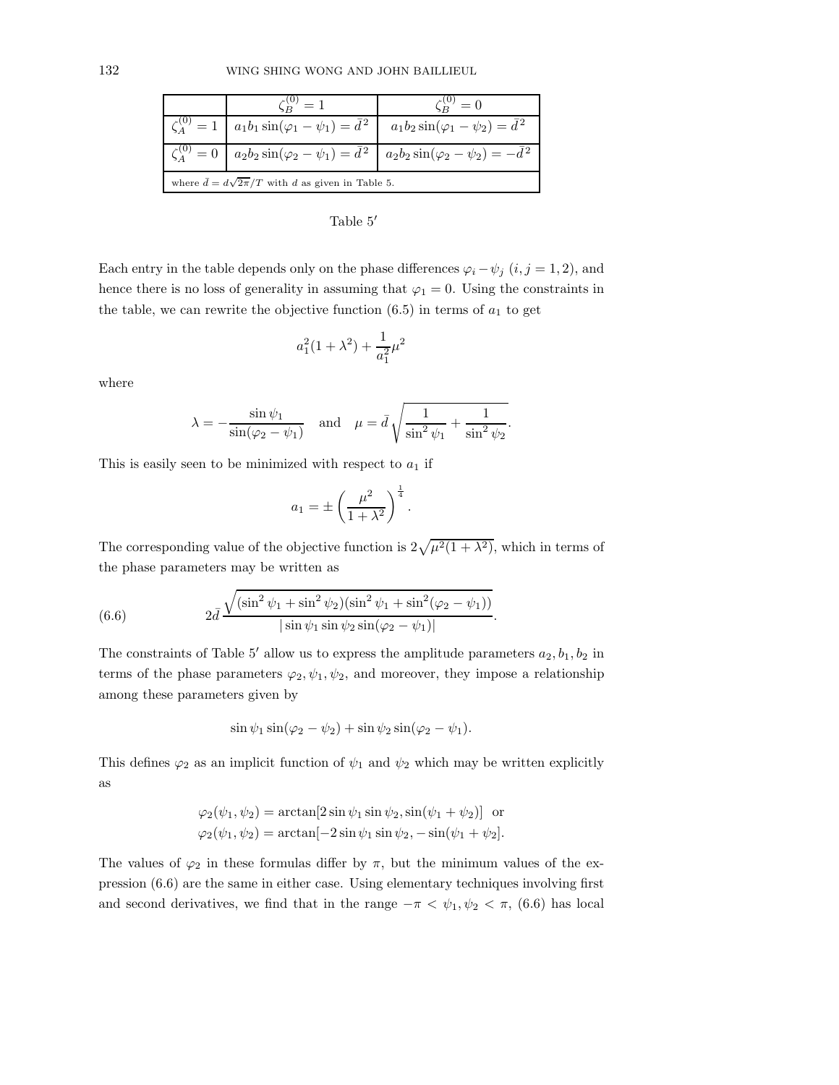|                                                              |                                                                                                                     | $= 0$                                                                                                                |
|--------------------------------------------------------------|---------------------------------------------------------------------------------------------------------------------|----------------------------------------------------------------------------------------------------------------------|
|                                                              | $\zeta_A^{(0)} = 1 \mid a_1b_1\sin(\varphi_1 - \psi_1) = \bar{d}^2 \mid a_1b_2\sin(\varphi_1 - \psi_2) = \bar{d}^2$ |                                                                                                                      |
|                                                              |                                                                                                                     | $\zeta_A^{(0)} = 0$   $a_2b_2 \sin(\varphi_2 - \psi_1) = \bar{d}^2$   $a_2b_2 \sin(\varphi_2 - \psi_2) = -\bar{d}^2$ |
| where $\bar{d} = d\sqrt{2\pi}/T$ with d as given in Table 5. |                                                                                                                     |                                                                                                                      |

Table 5′

Each entry in the table depends only on the phase differences  $\varphi_i - \psi_j$   $(i, j = 1, 2)$ , and hence there is no loss of generality in assuming that  $\varphi_1 = 0$ . Using the constraints in the table, we can rewrite the objective function  $(6.5)$  in terms of  $a_1$  to get

$$
a_1^2(1+\lambda^2) + \frac{1}{a_1^2}\mu^2
$$

where

$$
\lambda = -\frac{\sin \psi_1}{\sin(\varphi_2 - \psi_1)} \quad \text{and} \quad \mu = \bar{d} \sqrt{\frac{1}{\sin^2 \psi_1} + \frac{1}{\sin^2 \psi_2}}.
$$

This is easily seen to be minimized with respect to  $a_1$  if

$$
a_1 = \pm \left(\frac{\mu^2}{1 + \lambda^2}\right)^{\frac{1}{4}}.
$$

The corresponding value of the objective function is  $2\sqrt{\mu^2(1 + \lambda^2)}$ , which in terms of the phase parameters may be written as

(6.6) 
$$
2\bar{d} \frac{\sqrt{(\sin^2 \psi_1 + \sin^2 \psi_2)(\sin^2 \psi_1 + \sin^2(\varphi_2 - \psi_1))}}{|\sin \psi_1 \sin \psi_2 \sin(\varphi_2 - \psi_1)|}.
$$

The constraints of Table 5' allow us to express the amplitude parameters  $a_2, b_1, b_2$  in terms of the phase parameters  $\varphi_2, \psi_1, \psi_2$ , and moreover, they impose a relationship among these parameters given by

$$
\sin \psi_1 \sin(\varphi_2 - \psi_2) + \sin \psi_2 \sin(\varphi_2 - \psi_1).
$$

This defines  $\varphi_2$  as an implicit function of  $\psi_1$  and  $\psi_2$  which may be written explicitly as

$$
\varphi_2(\psi_1, \psi_2) = \arctan[2\sin\psi_1\sin\psi_2, \sin(\psi_1 + \psi_2)] \text{ or}
$$
  

$$
\varphi_2(\psi_1, \psi_2) = \arctan[-2\sin\psi_1\sin\psi_2, -\sin(\psi_1 + \psi_2]).
$$

The values of  $\varphi_2$  in these formulas differ by  $\pi$ , but the minimum values of the expression (6.6) are the same in either case. Using elementary techniques involving first and second derivatives, we find that in the range  $-\pi < \psi_1, \psi_2 < \pi$ , (6.6) has local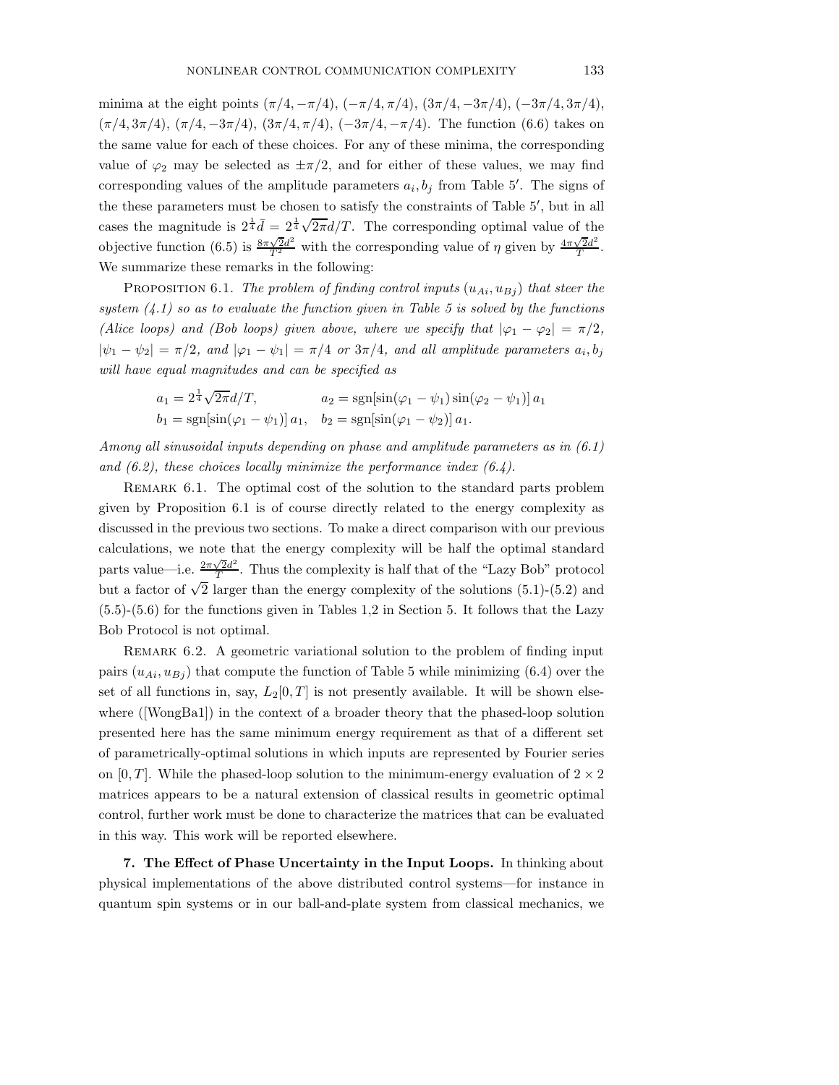minima at the eight points  $(\pi/4, -\pi/4)$ ,  $(-\pi/4, \pi/4)$ ,  $(3\pi/4, -3\pi/4)$ ,  $(-3\pi/4, 3\pi/4)$ ,  $(\pi/4, 3\pi/4), (\pi/4, -3\pi/4), (3\pi/4, \pi/4), (-3\pi/4, -\pi/4)$ . The function (6.6) takes on the same value for each of these choices. For any of these minima, the corresponding value of  $\varphi_2$  may be selected as  $\pm \pi/2$ , and for either of these values, we may find corresponding values of the amplitude parameters  $a_i, b_j$  from Table 5'. The signs of the these parameters must be chosen to satisfy the constraints of Table 5′ , but in all cases the magnitude is  $2^{\frac{1}{4}}\bar{d} = 2^{\frac{1}{4}}\sqrt{2\pi}d/T$ . The corresponding optimal value of the objective function (6.5) is  $\frac{8\pi\sqrt{2}d^2}{T^2}$  with the corresponding value of  $\eta$  given by  $\frac{4\pi\sqrt{2}d^2}{T}$  $\frac{\sqrt{2d^2}}{T}$ . We summarize these remarks in the following:

PROPOSITION 6.1. The problem of finding control inputs  $(u_{Ai}, u_{Bj})$  that steer the system  $(4.1)$  so as to evaluate the function given in Table 5 is solved by the functions (Alice loops) and (Bob loops) given above, where we specify that  $|\varphi_1 - \varphi_2| = \pi/2$ ,  $|\psi_1 - \psi_2| = \pi/2$ , and  $|\varphi_1 - \psi_1| = \pi/4$  or  $3\pi/4$ , and all amplitude parameters  $a_i, b_j$ will have equal magnitudes and can be specified as

$$
a_1 = 2^{\frac{1}{4}} \sqrt{2\pi} d/T, \qquad a_2 = \text{sgn}[\sin(\varphi_1 - \psi_1) \sin(\varphi_2 - \psi_1)] a_1 b_1 = \text{sgn}[\sin(\varphi_1 - \psi_1)] a_1, \quad b_2 = \text{sgn}[\sin(\varphi_1 - \psi_2)] a_1.
$$

Among all sinusoidal inputs depending on phase and amplitude parameters as in (6.1) and  $(6.2)$ , these choices locally minimize the performance index  $(6.4)$ .

REMARK 6.1. The optimal cost of the solution to the standard parts problem given by Proposition 6.1 is of course directly related to the energy complexity as discussed in the previous two sections. To make a direct comparison with our previous calculations, we note that the energy complexity will be half the optimal standard parts value—i.e.  $\frac{2\pi\sqrt{2}d^2}{T}$  $\frac{\sqrt{2a}}{T}$ . Thus the complexity is half that of the "Lazy Bob" protocol but a factor of  $\sqrt{2}$  larger than the energy complexity of the solutions (5.1)-(5.2) and (5.5)-(5.6) for the functions given in Tables 1,2 in Section 5. It follows that the Lazy Bob Protocol is not optimal.

REMARK 6.2. A geometric variational solution to the problem of finding input pairs  $(u_{Ai}, u_{Bj})$  that compute the function of Table 5 while minimizing (6.4) over the set of all functions in, say,  $L_2[0,T]$  is not presently available. It will be shown elsewhere ([WongBa1]) in the context of a broader theory that the phased-loop solution presented here has the same minimum energy requirement as that of a different set of parametrically-optimal solutions in which inputs are represented by Fourier series on [0, T]. While the phased-loop solution to the minimum-energy evaluation of  $2 \times 2$ matrices appears to be a natural extension of classical results in geometric optimal control, further work must be done to characterize the matrices that can be evaluated in this way. This work will be reported elsewhere.

7. The Effect of Phase Uncertainty in the Input Loops. In thinking about physical implementations of the above distributed control systems—for instance in quantum spin systems or in our ball-and-plate system from classical mechanics, we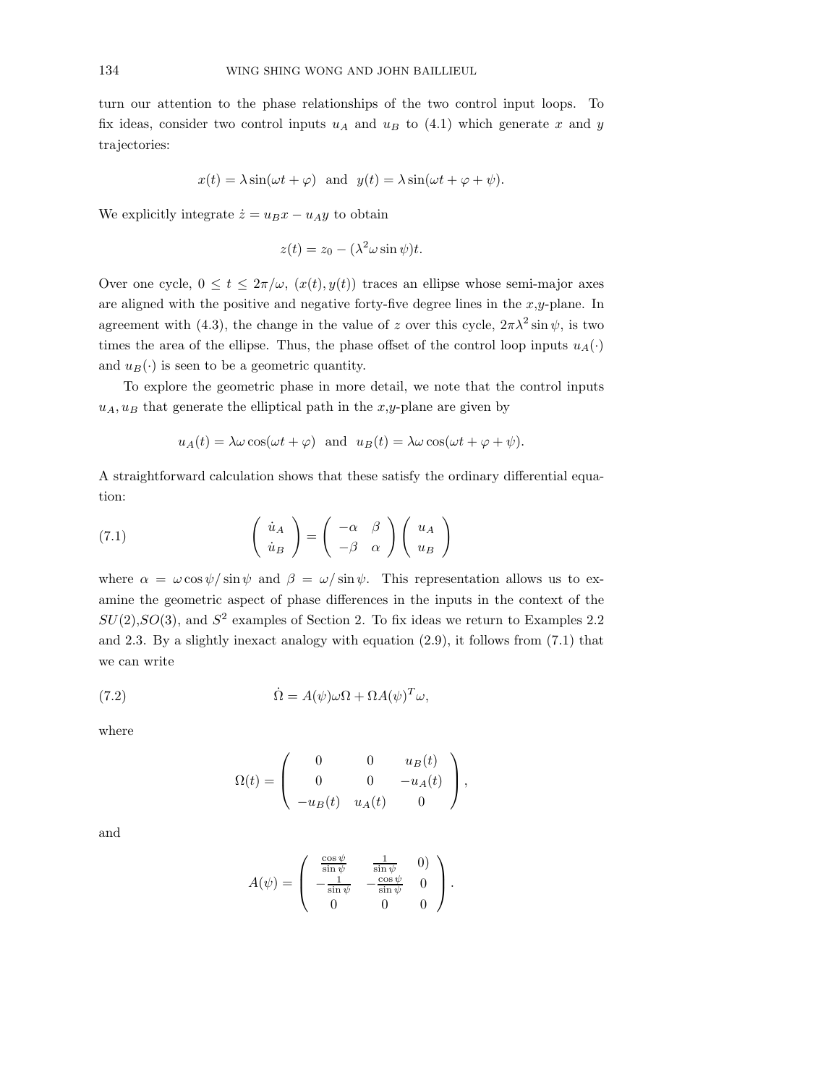turn our attention to the phase relationships of the two control input loops. To fix ideas, consider two control inputs  $u_A$  and  $u_B$  to (4.1) which generate x and y trajectories:

$$
x(t) = \lambda \sin(\omega t + \varphi)
$$
 and  $y(t) = \lambda \sin(\omega t + \varphi + \psi)$ .

We explicitly integrate  $\dot{z} = u_B x - u_A y$  to obtain

$$
z(t) = z_0 - (\lambda^2 \omega \sin \psi)t.
$$

Over one cycle,  $0 \le t \le 2\pi/\omega$ ,  $(x(t), y(t))$  traces an ellipse whose semi-major axes are aligned with the positive and negative forty-five degree lines in the  $x,y$ -plane. In agreement with (4.3), the change in the value of z over this cycle,  $2\pi\lambda^2 \sin \psi$ , is two times the area of the ellipse. Thus, the phase offset of the control loop inputs  $u_A(\cdot)$ and  $u_B(\cdot)$  is seen to be a geometric quantity.

To explore the geometric phase in more detail, we note that the control inputs  $u_A, u_B$  that generate the elliptical path in the  $x,y$ -plane are given by

$$
u_A(t) = \lambda \omega \cos(\omega t + \varphi)
$$
 and  $u_B(t) = \lambda \omega \cos(\omega t + \varphi + \psi)$ .

A straightforward calculation shows that these satisfy the ordinary differential equation:

(7.1) 
$$
\begin{pmatrix} \dot{u}_A \\ \dot{u}_B \end{pmatrix} = \begin{pmatrix} -\alpha & \beta \\ -\beta & \alpha \end{pmatrix} \begin{pmatrix} u_A \\ u_B \end{pmatrix}
$$

where  $\alpha = \omega \cos \psi / \sin \psi$  and  $\beta = \omega / \sin \psi$ . This representation allows us to examine the geometric aspect of phase differences in the inputs in the context of the  $SU(2), SO(3)$ , and  $S<sup>2</sup>$  examples of Section 2. To fix ideas we return to Examples 2.2 and 2.3. By a slightly inexact analogy with equation (2.9), it follows from (7.1) that we can write

(7.2) 
$$
\dot{\Omega} = A(\psi)\omega\Omega + \Omega A(\psi)^T \omega,
$$

where

$$
\Omega(t) = \begin{pmatrix} 0 & 0 & u_B(t) \\ 0 & 0 & -u_A(t) \\ -u_B(t) & u_A(t) & 0 \end{pmatrix},
$$

and

$$
A(\psi) = \begin{pmatrix} \frac{\cos \psi}{\sin \psi} & \frac{1}{\sin \psi} & 0 \\ -\frac{1}{\sin \psi} & -\frac{\cos \psi}{\sin \psi} & 0 \\ 0 & 0 & 0 \end{pmatrix}.
$$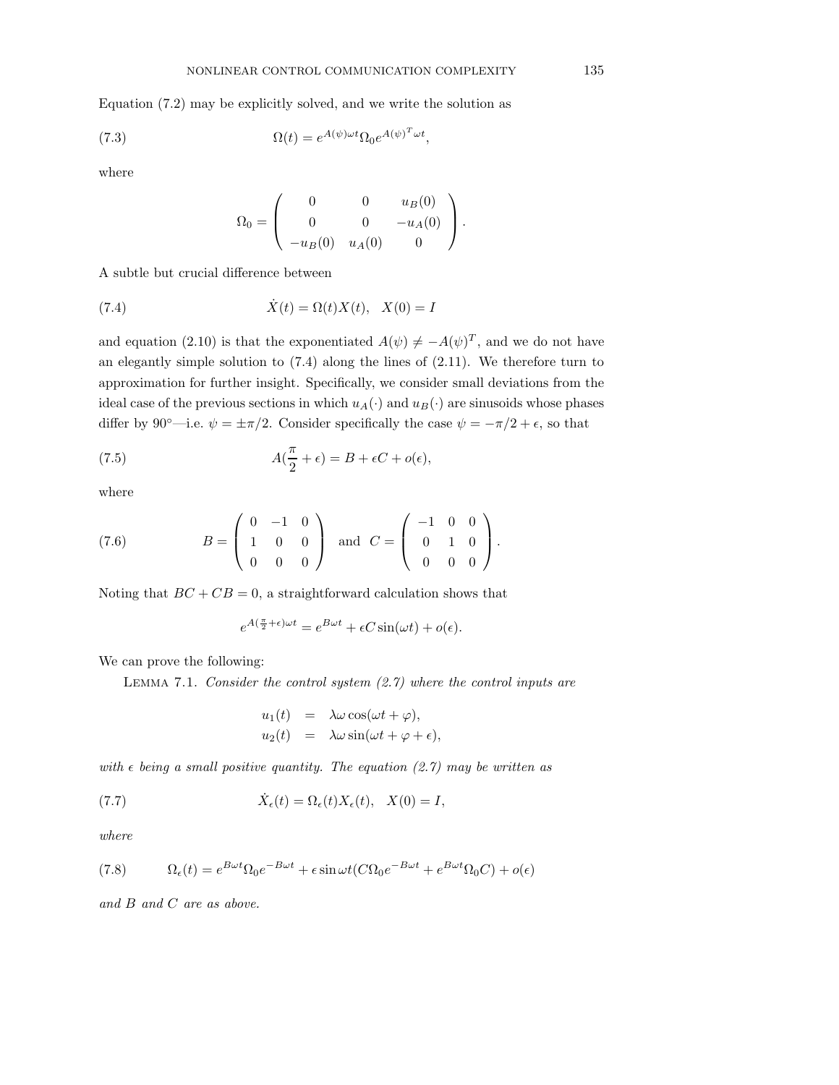Equation (7.2) may be explicitly solved, and we write the solution as

(7.3) 
$$
\Omega(t) = e^{A(\psi)\omega t} \Omega_0 e^{A(\psi)^T \omega t},
$$

where

$$
\Omega_0 = \begin{pmatrix} 0 & 0 & u_B(0) \\ 0 & 0 & -u_A(0) \\ -u_B(0) & u_A(0) & 0 \end{pmatrix}.
$$

A subtle but crucial difference between

(7.4) 
$$
\dot{X}(t) = \Omega(t)X(t), X(0) = I
$$

and equation (2.10) is that the exponentiated  $A(\psi) \neq -A(\psi)^T$ , and we do not have an elegantly simple solution to (7.4) along the lines of (2.11). We therefore turn to approximation for further insight. Specifically, we consider small deviations from the ideal case of the previous sections in which  $u_A(\cdot)$  and  $u_B(\cdot)$  are sinusoids whose phases differ by 90°—i.e.  $\psi = \pm \pi/2$ . Consider specifically the case  $\psi = -\pi/2 + \epsilon$ , so that

(7.5) 
$$
A(\frac{\pi}{2} + \epsilon) = B + \epsilon C + o(\epsilon),
$$

where

(7.6) 
$$
B = \begin{pmatrix} 0 & -1 & 0 \\ 1 & 0 & 0 \\ 0 & 0 & 0 \end{pmatrix} \text{ and } C = \begin{pmatrix} -1 & 0 & 0 \\ 0 & 1 & 0 \\ 0 & 0 & 0 \end{pmatrix}.
$$

Noting that  $BC + CB = 0$ , a straightforward calculation shows that

$$
e^{A(\frac{\pi}{2} + \epsilon)\omega t} = e^{B\omega t} + \epsilon C \sin(\omega t) + o(\epsilon).
$$

We can prove the following:

LEMMA 7.1. Consider the control system  $(2.7)$  where the control inputs are

$$
u_1(t) = \lambda \omega \cos(\omega t + \varphi),
$$
  
\n
$$
u_2(t) = \lambda \omega \sin(\omega t + \varphi + \epsilon),
$$

with  $\epsilon$  being a small positive quantity. The equation (2.7) may be written as

(7.7) 
$$
\dot{X}_{\epsilon}(t) = \Omega_{\epsilon}(t)X_{\epsilon}(t), \quad X(0) = I,
$$

where

(7.8) 
$$
\Omega_{\epsilon}(t) = e^{B\omega t} \Omega_0 e^{-B\omega t} + \epsilon \sin \omega t (C \Omega_0 e^{-B\omega t} + e^{B\omega t} \Omega_0 C) + o(\epsilon)
$$

and B and C are as above.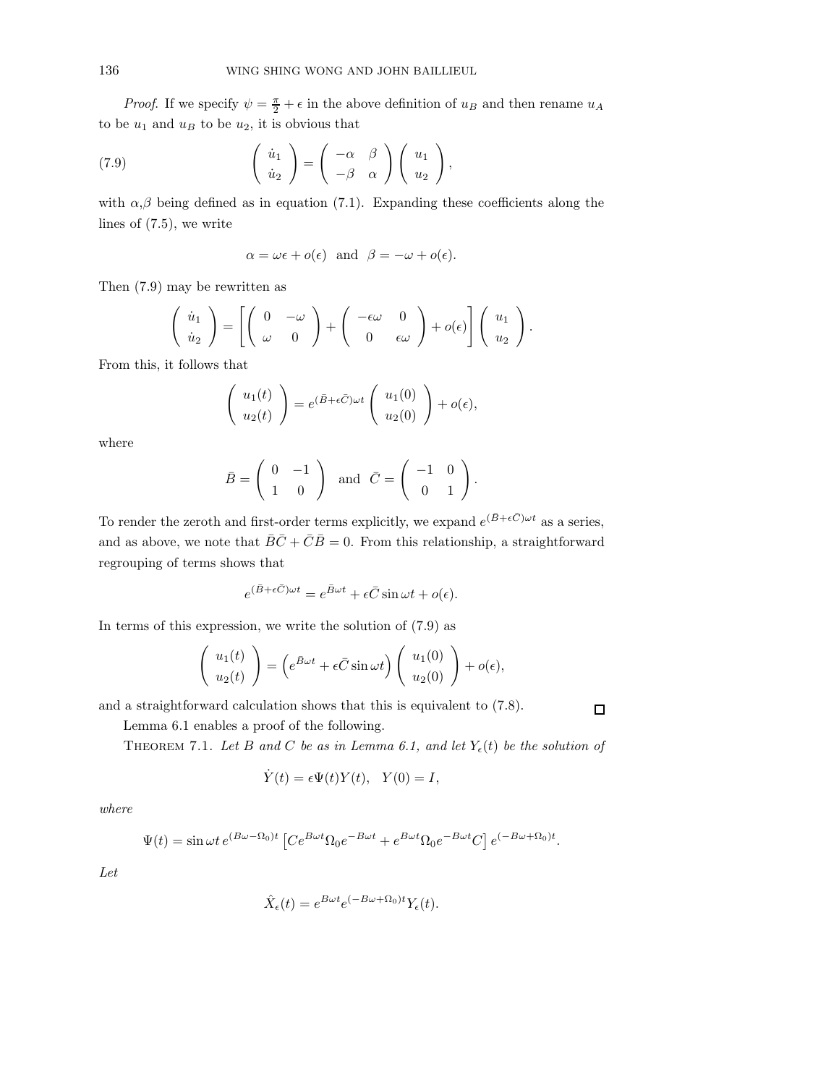*Proof.* If we specify  $\psi = \frac{\pi}{2} + \epsilon$  in the above definition of  $u_B$  and then rename  $u_A$ to be  $u_1$  and  $u_B$  to be  $u_2$ , it is obvious that

(7.9) 
$$
\begin{pmatrix} \dot{u}_1 \\ \dot{u}_2 \end{pmatrix} = \begin{pmatrix} -\alpha & \beta \\ -\beta & \alpha \end{pmatrix} \begin{pmatrix} u_1 \\ u_2 \end{pmatrix},
$$

with  $\alpha, \beta$  being defined as in equation (7.1). Expanding these coefficients along the lines of (7.5), we write

$$
\alpha = \omega \epsilon + o(\epsilon)
$$
 and  $\beta = -\omega + o(\epsilon)$ .

Then (7.9) may be rewritten as

$$
\begin{pmatrix}\n\dot{u}_1 \\
\dot{u}_2\n\end{pmatrix} = \left[ \begin{pmatrix}\n0 & -\omega \\
\omega & 0\n\end{pmatrix} + \begin{pmatrix}\n-\epsilon\omega & 0 \\
0 & \epsilon\omega\n\end{pmatrix} + o(\epsilon) \right] \begin{pmatrix}\nu_1 \\
u_2\n\end{pmatrix}.
$$

From this, it follows that

$$
\begin{pmatrix} u_1(t) \\ u_2(t) \end{pmatrix} = e^{(\bar{B}+\epsilon \bar{C})\omega t} \begin{pmatrix} u_1(0) \\ u_2(0) \end{pmatrix} + o(\epsilon),
$$

where

$$
\bar{B} = \left( \begin{array}{cc} 0 & -1 \\ 1 & 0 \end{array} \right) \text{ and } \bar{C} = \left( \begin{array}{cc} -1 & 0 \\ 0 & 1 \end{array} \right).
$$

To render the zeroth and first-order terms explicitly, we expand  $e^{(\bar{B}+\epsilon \bar{C})\omega t}$  as a series, and as above, we note that  $\overline{B}\overline{C} + \overline{C}\overline{B} = 0$ . From this relationship, a straightforward regrouping of terms shows that

$$
e^{(\bar{B}+\epsilon\bar{C})\omega t} = e^{\bar{B}\omega t} + \epsilon\bar{C}\sin\omega t + o(\epsilon).
$$

In terms of this expression, we write the solution of (7.9) as

$$
\begin{pmatrix} u_1(t) \\ u_2(t) \end{pmatrix} = \left( e^{\bar{B}\omega t} + \epsilon \bar{C} \sin \omega t \right) \begin{pmatrix} u_1(0) \\ u_2(0) \end{pmatrix} + o(\epsilon),
$$

and a straightforward calculation shows that this is equivalent to (7.8).

Lemma 6.1 enables a proof of the following.

THEOREM 7.1. Let B and C be as in Lemma 6.1, and let  $Y_{\epsilon}(t)$  be the solution of

 $\Box$ 

$$
\dot{Y}(t) = \epsilon \Psi(t) Y(t), \quad Y(0) = I,
$$

where

$$
\Psi(t) = \sin \omega t \, e^{(B\omega - \Omega_0)t} \left[ C e^{B\omega t} \Omega_0 e^{-B\omega t} + e^{B\omega t} \Omega_0 e^{-B\omega t} C \right] e^{(-B\omega + \Omega_0)t}.
$$

Let

$$
\hat{X}_{\epsilon}(t) = e^{B\omega t} e^{(-B\omega + \Omega_0)t} Y_{\epsilon}(t).
$$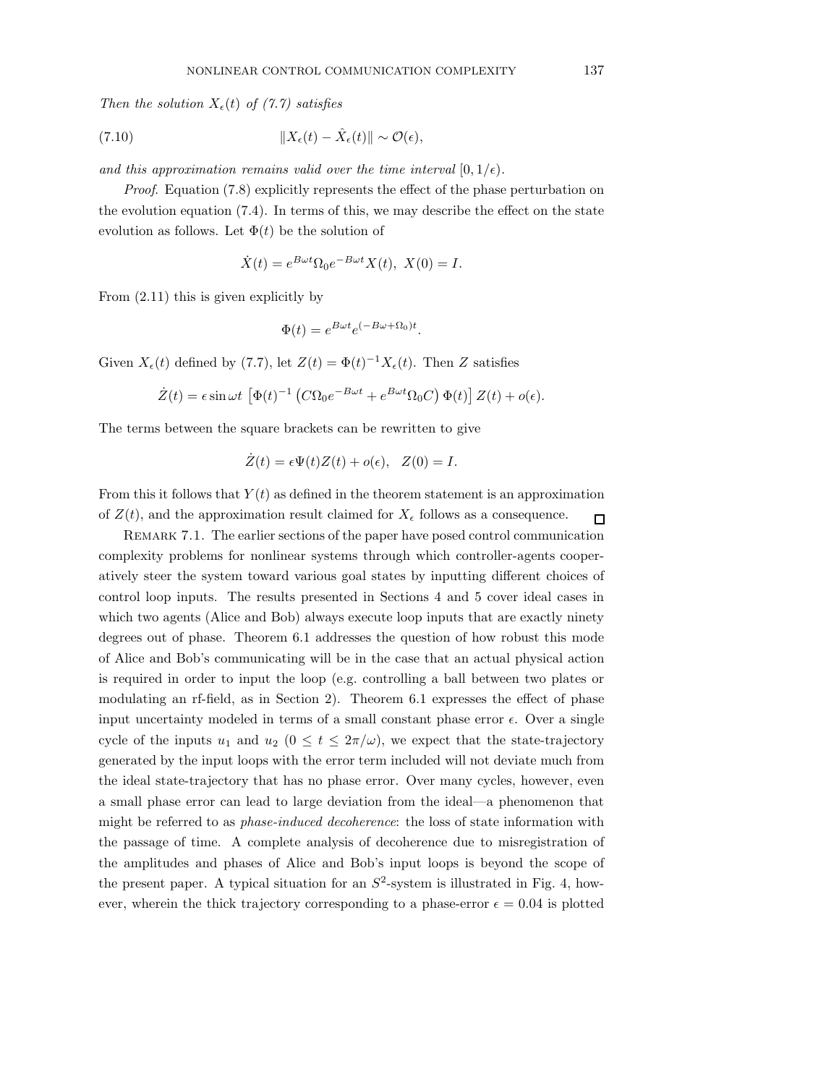Then the solution  $X_{\epsilon}(t)$  of (7.7) satisfies

(7.10) 
$$
||X_{\epsilon}(t) - \hat{X}_{\epsilon}(t)|| \sim \mathcal{O}(\epsilon),
$$

and this approximation remains valid over the time interval  $[0, 1/\epsilon)$ .

Proof. Equation (7.8) explicitly represents the effect of the phase perturbation on the evolution equation (7.4). In terms of this, we may describe the effect on the state evolution as follows. Let  $\Phi(t)$  be the solution of

$$
\dot{X}(t) = e^{B\omega t} \Omega_0 e^{-B\omega t} X(t), \ X(0) = I.
$$

From (2.11) this is given explicitly by

$$
\Phi(t) = e^{B\omega t} e^{(-B\omega + \Omega_0)t}.
$$

Given  $X_{\epsilon}(t)$  defined by (7.7), let  $Z(t) = \Phi(t)^{-1} X_{\epsilon}(t)$ . Then Z satisfies

$$
\dot{Z}(t) = \epsilon \sin \omega t \left[ \Phi(t)^{-1} \left( C \Omega_0 e^{-B \omega t} + e^{B \omega t} \Omega_0 C \right) \Phi(t) \right] Z(t) + o(\epsilon).
$$

The terms between the square brackets can be rewritten to give

$$
\dot{Z}(t) = \epsilon \Psi(t) Z(t) + o(\epsilon), \quad Z(0) = I.
$$

From this it follows that  $Y(t)$  as defined in the theorem statement is an approximation of  $Z(t)$ , and the approximation result claimed for  $X_{\epsilon}$  follows as a consequence.  $\Box$ 

REMARK 7.1. The earlier sections of the paper have posed control communication complexity problems for nonlinear systems through which controller-agents cooperatively steer the system toward various goal states by inputting different choices of control loop inputs. The results presented in Sections 4 and 5 cover ideal cases in which two agents (Alice and Bob) always execute loop inputs that are exactly ninety degrees out of phase. Theorem 6.1 addresses the question of how robust this mode of Alice and Bob's communicating will be in the case that an actual physical action is required in order to input the loop (e.g. controlling a ball between two plates or modulating an rf-field, as in Section 2). Theorem 6.1 expresses the effect of phase input uncertainty modeled in terms of a small constant phase error  $\epsilon$ . Over a single cycle of the inputs  $u_1$  and  $u_2$   $(0 \le t \le 2\pi/\omega)$ , we expect that the state-trajectory generated by the input loops with the error term included will not deviate much from the ideal state-trajectory that has no phase error. Over many cycles, however, even a small phase error can lead to large deviation from the ideal—a phenomenon that might be referred to as phase-induced decoherence: the loss of state information with the passage of time. A complete analysis of decoherence due to misregistration of the amplitudes and phases of Alice and Bob's input loops is beyond the scope of the present paper. A typical situation for an  $S^2$ -system is illustrated in Fig. 4, however, wherein the thick trajectory corresponding to a phase-error  $\epsilon = 0.04$  is plotted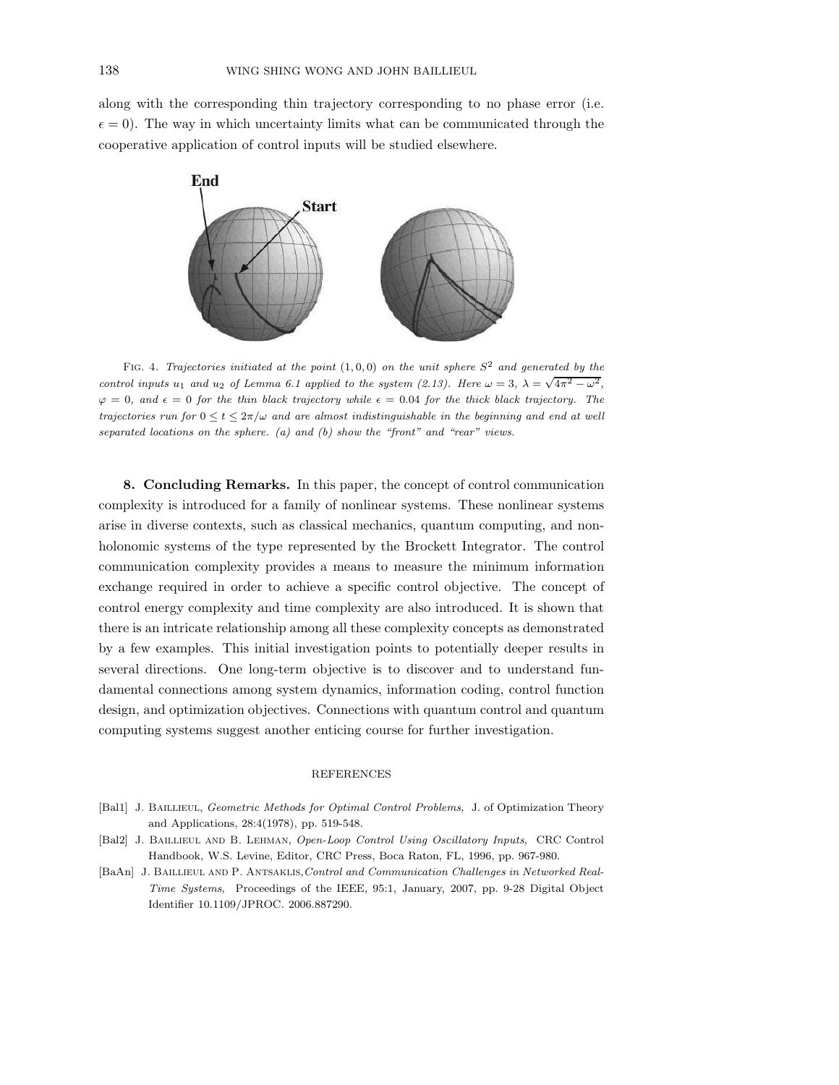along with the corresponding thin trajectory corresponding to no phase error (i.e.  $\epsilon = 0$ ). The way in which uncertainty limits what can be communicated through the cooperative application of control inputs will be studied elsewhere.



FIG. 4. Trajectories initiated at the point  $(1, 0, 0)$  on the unit sphere  $S<sup>2</sup>$  and generated by the control inputs u<sub>1</sub> and u<sub>2</sub> of Lemma 6.1 applied to the system (2.13). Here  $\omega = 3$ ,  $\lambda = \sqrt{4\pi^2 - \omega^2}$ ,  $\varphi = 0$ , and  $\epsilon = 0$  for the thin black trajectory while  $\epsilon = 0.04$  for the thick black trajectory. The trajectories run for  $0 \le t \le 2\pi/\omega$  and are almost indistinguishable in the beginning and end at well separated locations on the sphere. (a) and (b) show the "front" and "rear" views.

8. Concluding Remarks. In this paper, the concept of control communication complexity is introduced for a family of nonlinear systems. These nonlinear systems arise in diverse contexts, such as classical mechanics, quantum computing, and nonholonomic systems of the type represented by the Brockett Integrator. The control communication complexity provides a means to measure the minimum information exchange required in order to achieve a specific control objective. The concept of control energy complexity and time complexity are also introduced. It is shown that there is an intricate relationship among all these complexity concepts as demonstrated by a few examples. This initial investigation points to potentially deeper results in several directions. One long-term objective is to discover and to understand fundamental connections among system dynamics, information coding, control function design, and optimization objectives. Connections with quantum control and quantum computing systems suggest another enticing course for further investigation.

## REFERENCES

- [Bal1] J. BAILLIEUL, Geometric Methods for Optimal Control Problems, J. of Optimization Theory and Applications, 28:4(1978), pp. 519-548.
- [Bal2] J. Baillieul and B. Lehman, Open-Loop Control Using Oscillatory Inputs, CRC Control Handbook, W.S. Levine, Editor, CRC Press, Boca Raton, FL, 1996, pp. 967-980.
- [BaAn] J. BAILLIEUL AND P. ANTSAKLIS, Control and Communication Challenges in Networked Real-Time Systems, Proceedings of the IEEE, 95:1, January, 2007, pp. 9-28 Digital Object Identifier 10.1109/JPROC. 2006.887290.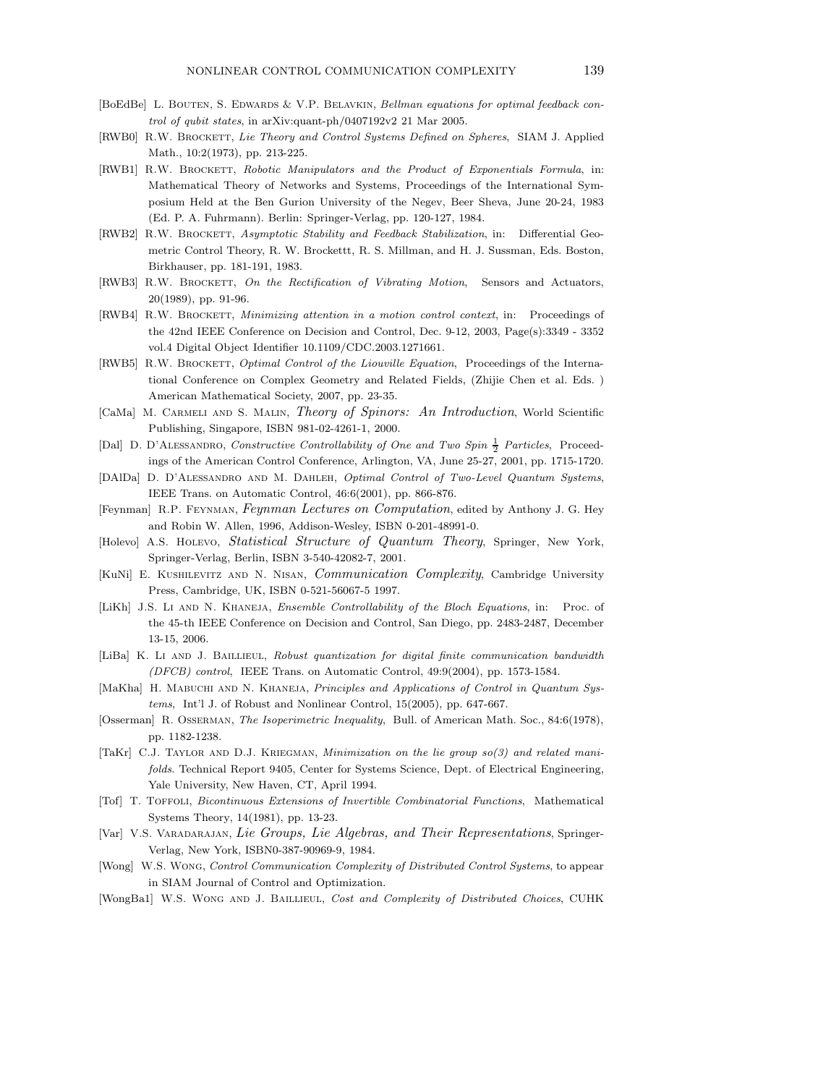- [BoEdBe] L. BOUTEN, S. EDWARDS & V.P. BELAVKIN, Bellman equations for optimal feedback control of qubit states, in arXiv:quant-ph/0407192v2 21 Mar 2005.
- [RWB0] R.W. BROCKETT, Lie Theory and Control Systems Defined on Spheres, SIAM J. Applied Math., 10:2(1973), pp. 213-225.
- [RWB1] R.W. BROCKETT, Robotic Manipulators and the Product of Exponentials Formula, in: Mathematical Theory of Networks and Systems, Proceedings of the International Symposium Held at the Ben Gurion University of the Negev, Beer Sheva, June 20-24, 1983 (Ed. P. A. Fuhrmann). Berlin: Springer-Verlag, pp. 120-127, 1984.
- [RWB2] R.W. BROCKETT, Asymptotic Stability and Feedback Stabilization, in: Differential Geometric Control Theory, R. W. Brockettt, R. S. Millman, and H. J. Sussman, Eds. Boston, Birkhauser, pp. 181-191, 1983.
- [RWB3] R.W. BROCKETT, On the Rectification of Vibrating Motion, Sensors and Actuators, 20(1989), pp. 91-96.
- [RWB4] R.W. BROCKETT, *Minimizing attention in a motion control context*, in: Proceedings of the 42nd IEEE Conference on Decision and Control, Dec. 9-12, 2003, Page(s):3349 - 3352 vol.4 Digital Object Identifier 10.1109/CDC.2003.1271661.
- [RWB5] R.W. BROCKETT, Optimal Control of the Liouville Equation, Proceedings of the International Conference on Complex Geometry and Related Fields, (Zhijie Chen et al. Eds. ) American Mathematical Society, 2007, pp. 23-35.
- [CaMa] M. Carmeli and S. Malin, Theory of Spinors: An Introduction, World Scientific Publishing, Singapore, ISBN 981-02-4261-1, 2000.
- [Dal] D. D'ALESSANDRO, Constructive Controllability of One and Two Spin  $\frac{1}{2}$  Particles, Proceedings of the American Control Conference, Arlington, VA, June 25-27, 2001, pp. 1715-1720.
- [DAlDa] D. D'Alessandro and M. Dahleh, Optimal Control of Two-Level Quantum Systems, IEEE Trans. on Automatic Control, 46:6(2001), pp. 866-876.
- [Feynman] R.P. Feynman, Feynman Lectures on Computation, edited by Anthony J. G. Hey and Robin W. Allen, 1996, Addison-Wesley, ISBN 0-201-48991-0.
- [Holevo] A.S. Holevo, Statistical Structure of Quantum Theory, Springer, New York, Springer-Verlag, Berlin, ISBN 3-540-42082-7, 2001.
- [KuNi] E. Kushilevitz and N. Nisan, Communication Complexity, Cambridge University Press, Cambridge, UK, ISBN 0-521-56067-5 1997.
- [LiKh] J.S. Li AND N. KHANEJA, Ensemble Controllability of the Bloch Equations, in: Proc. of the 45-th IEEE Conference on Decision and Control, San Diego, pp. 2483-2487, December 13-15, 2006.
- [LiBa] K. LI AND J. BAILLIEUL, Robust quantization for digital finite communication bandwidth (DFCB) control, IEEE Trans. on Automatic Control, 49:9(2004), pp. 1573-1584.
- [MaKha] H. MABUCHI AND N. KHANEJA, Principles and Applications of Control in Quantum Systems, Int'l J. of Robust and Nonlinear Control, 15(2005), pp. 647-667.
- [Osserman] R. Osserman, The Isoperimetric Inequality, Bull. of American Math. Soc., 84:6(1978), pp. 1182-1238.
- [TaKr] C.J. Taylor and D.J. Kriegman, Minimization on the lie group so(3) and related manifolds. Technical Report 9405, Center for Systems Science, Dept. of Electrical Engineering, Yale University, New Haven, CT, April 1994.
- [Tof] T. Toffoli, Bicontinuous Extensions of Invertible Combinatorial Functions, Mathematical Systems Theory, 14(1981), pp. 13-23.
- [Var] V.S. Varadarajan, Lie Groups, Lie Algebras, and Their Representations, Springer-Verlag, New York, ISBN0-387-90969-9, 1984.
- [Wong] W.S. Wong, Control Communication Complexity of Distributed Control Systems, to appear in SIAM Journal of Control and Optimization.
- [WongBa1] W.S. WONG AND J. BAILLIEUL, Cost and Complexity of Distributed Choices, CUHK